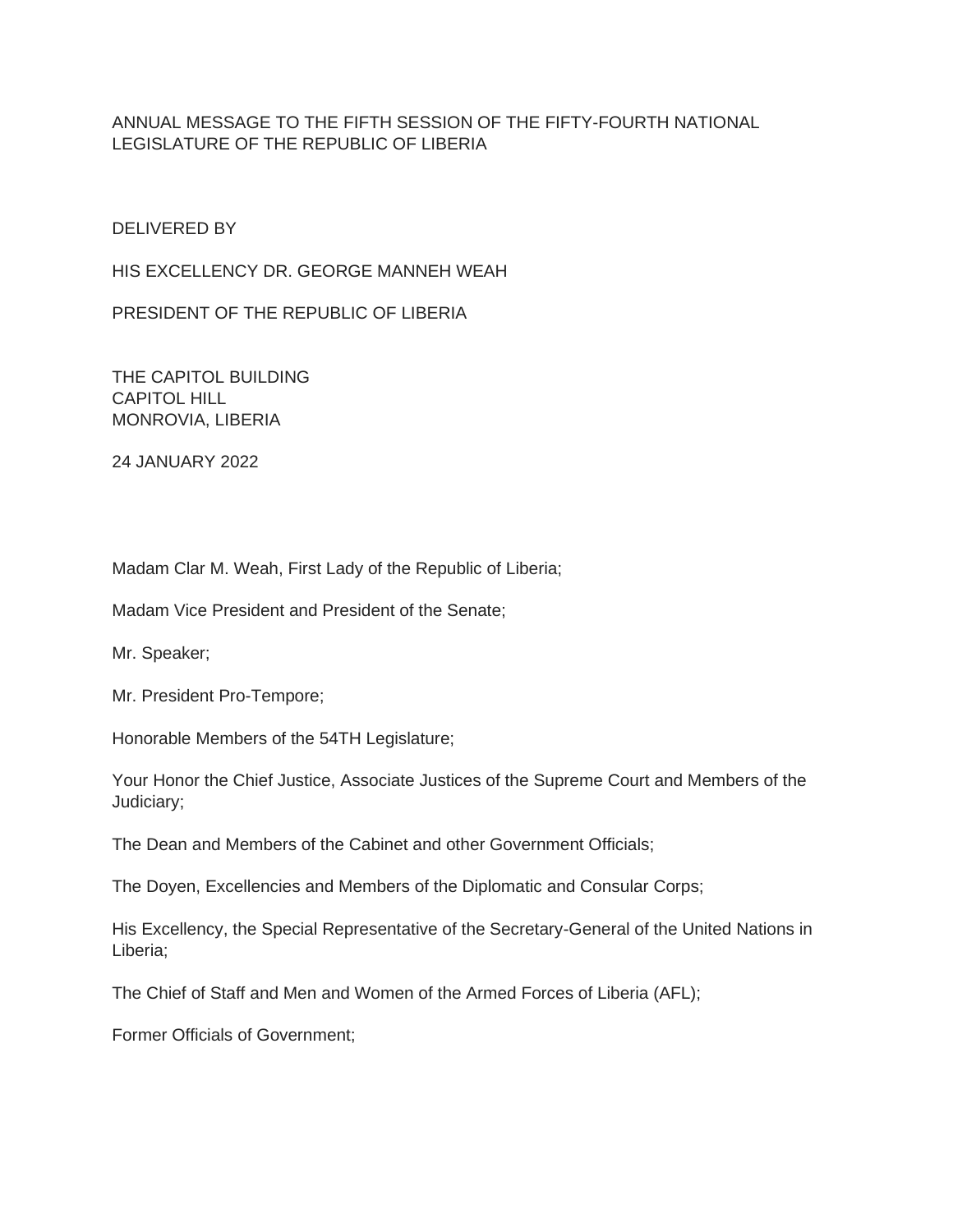# ANNUAL MESSAGE TO THE FIFTH SESSION OF THE FIFTY-FOURTH NATIONAL LEGISLATURE OF THE REPUBLIC OF LIBERIA

DELIVERED BY

HIS EXCELLENCY DR. GEORGE MANNEH WEAH

PRESIDENT OF THE REPUBLIC OF LIBERIA

THE CAPITOL BUILDING CAPITOL HILL MONROVIA, LIBERIA

24 JANUARY 2022

Madam Clar M. Weah, First Lady of the Republic of Liberia;

Madam Vice President and President of the Senate;

Mr. Speaker;

Mr. President Pro-Tempore;

Honorable Members of the 54TH Legislature;

Your Honor the Chief Justice, Associate Justices of the Supreme Court and Members of the Judiciary;

The Dean and Members of the Cabinet and other Government Officials;

The Doyen, Excellencies and Members of the Diplomatic and Consular Corps;

His Excellency, the Special Representative of the Secretary-General of the United Nations in Liberia;

The Chief of Staff and Men and Women of the Armed Forces of Liberia (AFL);

Former Officials of Government;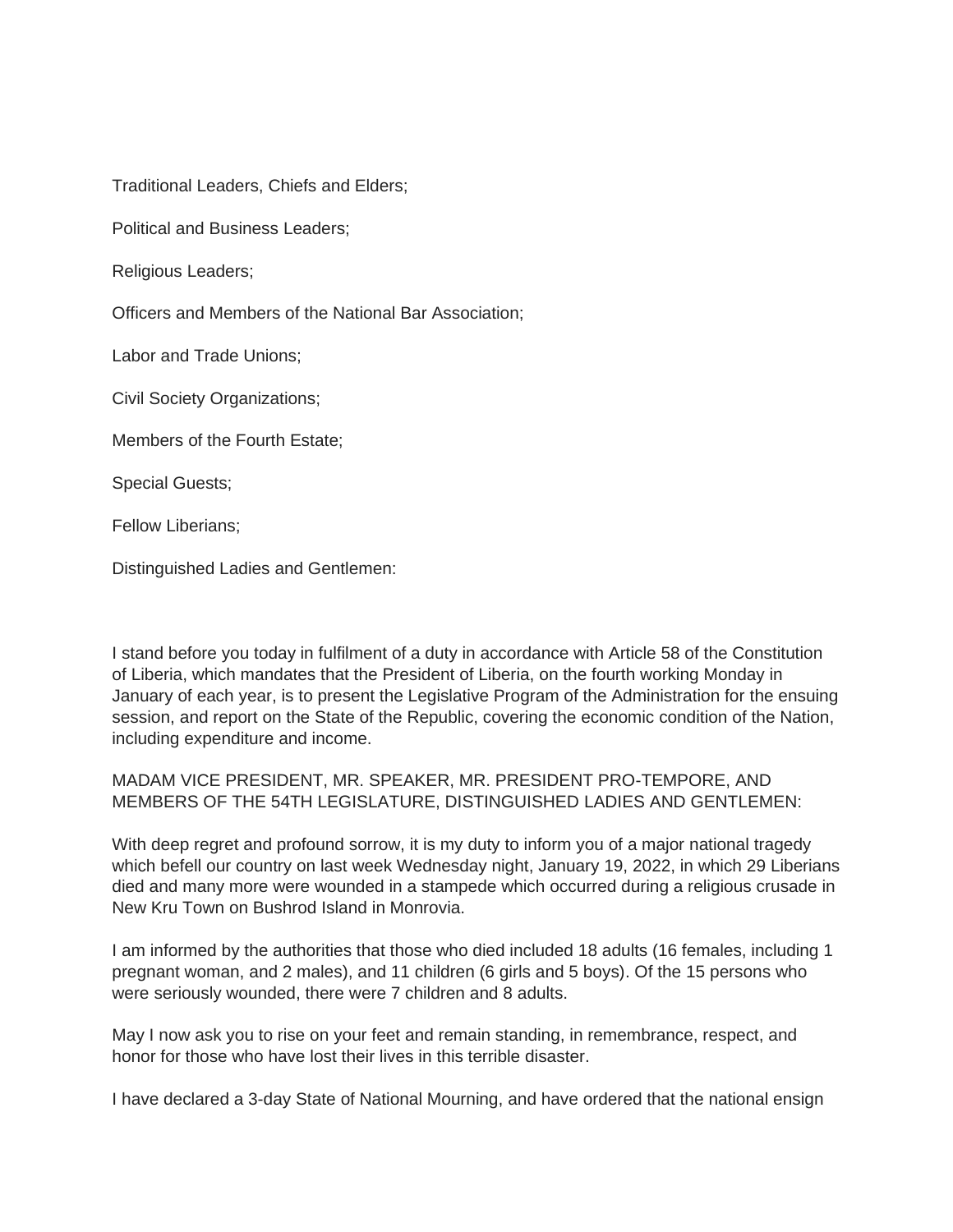Traditional Leaders, Chiefs and Elders;

Political and Business Leaders;

Religious Leaders;

Officers and Members of the National Bar Association;

Labor and Trade Unions;

Civil Society Organizations;

Members of the Fourth Estate;

Special Guests;

Fellow Liberians;

Distinguished Ladies and Gentlemen:

I stand before you today in fulfilment of a duty in accordance with Article 58 of the Constitution of Liberia, which mandates that the President of Liberia, on the fourth working Monday in January of each year, is to present the Legislative Program of the Administration for the ensuing session, and report on the State of the Republic, covering the economic condition of the Nation, including expenditure and income.

# MADAM VICE PRESIDENT, MR. SPEAKER, MR. PRESIDENT PRO-TEMPORE, AND MEMBERS OF THE 54TH LEGISLATURE, DISTINGUISHED LADIES AND GENTLEMEN:

With deep regret and profound sorrow, it is my duty to inform you of a major national tragedy which befell our country on last week Wednesday night, January 19, 2022, in which 29 Liberians died and many more were wounded in a stampede which occurred during a religious crusade in New Kru Town on Bushrod Island in Monrovia.

I am informed by the authorities that those who died included 18 adults (16 females, including 1 pregnant woman, and 2 males), and 11 children (6 girls and 5 boys). Of the 15 persons who were seriously wounded, there were 7 children and 8 adults.

May I now ask you to rise on your feet and remain standing, in remembrance, respect, and honor for those who have lost their lives in this terrible disaster.

I have declared a 3-day State of National Mourning, and have ordered that the national ensign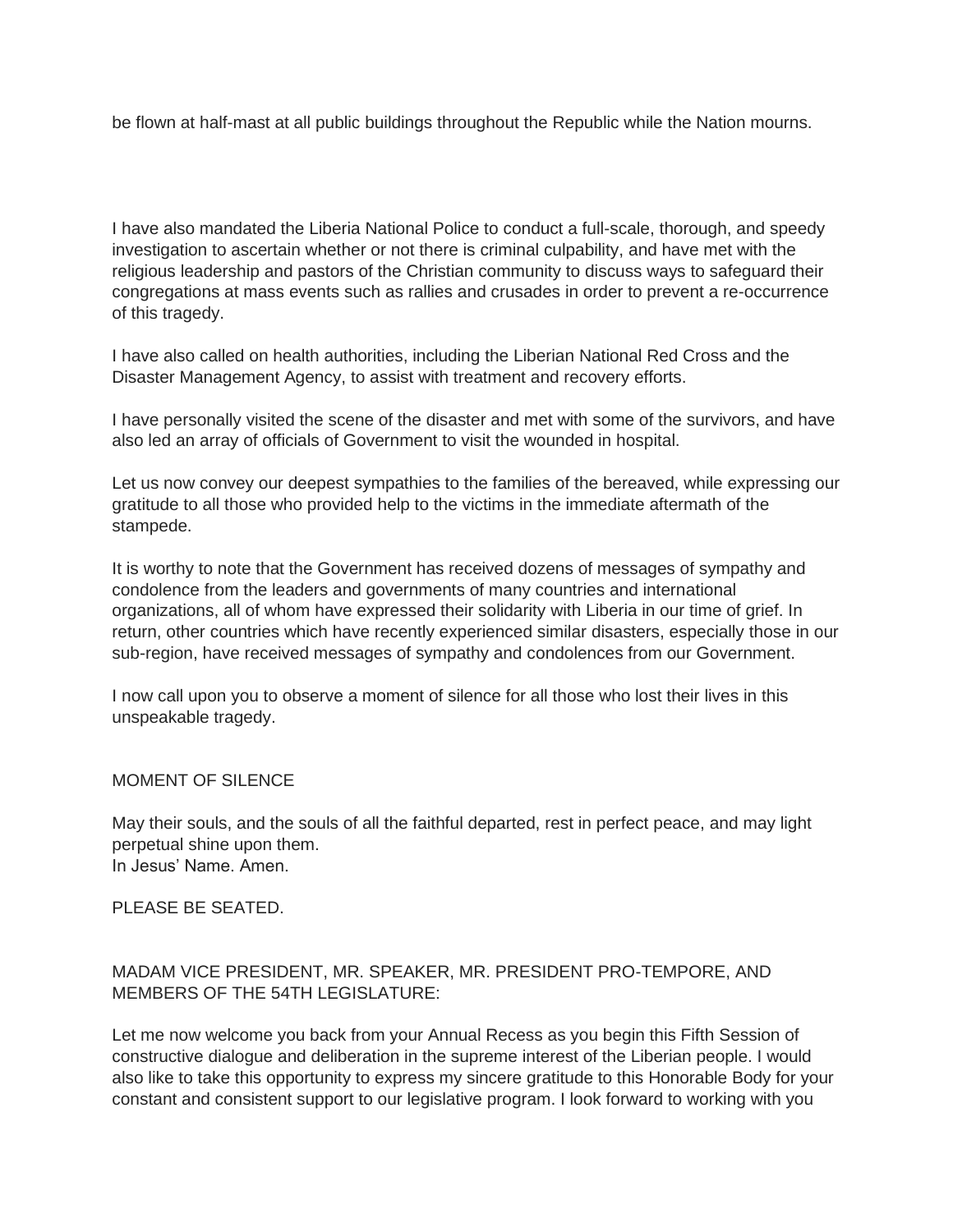be flown at half-mast at all public buildings throughout the Republic while the Nation mourns.

I have also mandated the Liberia National Police to conduct a full-scale, thorough, and speedy investigation to ascertain whether or not there is criminal culpability, and have met with the religious leadership and pastors of the Christian community to discuss ways to safeguard their congregations at mass events such as rallies and crusades in order to prevent a re-occurrence of this tragedy.

I have also called on health authorities, including the Liberian National Red Cross and the Disaster Management Agency, to assist with treatment and recovery efforts.

I have personally visited the scene of the disaster and met with some of the survivors, and have also led an array of officials of Government to visit the wounded in hospital.

Let us now convey our deepest sympathies to the families of the bereaved, while expressing our gratitude to all those who provided help to the victims in the immediate aftermath of the stampede.

It is worthy to note that the Government has received dozens of messages of sympathy and condolence from the leaders and governments of many countries and international organizations, all of whom have expressed their solidarity with Liberia in our time of grief. In return, other countries which have recently experienced similar disasters, especially those in our sub-region, have received messages of sympathy and condolences from our Government.

I now call upon you to observe a moment of silence for all those who lost their lives in this unspeakable tragedy.

### MOMENT OF SILENCE

May their souls, and the souls of all the faithful departed, rest in perfect peace, and may light perpetual shine upon them. In Jesus' Name. Amen.

PLEASE BE SEATED.

### MADAM VICE PRESIDENT, MR. SPEAKER, MR. PRESIDENT PRO-TEMPORE, AND MEMBERS OF THE 54TH LEGISLATURE:

Let me now welcome you back from your Annual Recess as you begin this Fifth Session of constructive dialogue and deliberation in the supreme interest of the Liberian people. I would also like to take this opportunity to express my sincere gratitude to this Honorable Body for your constant and consistent support to our legislative program. I look forward to working with you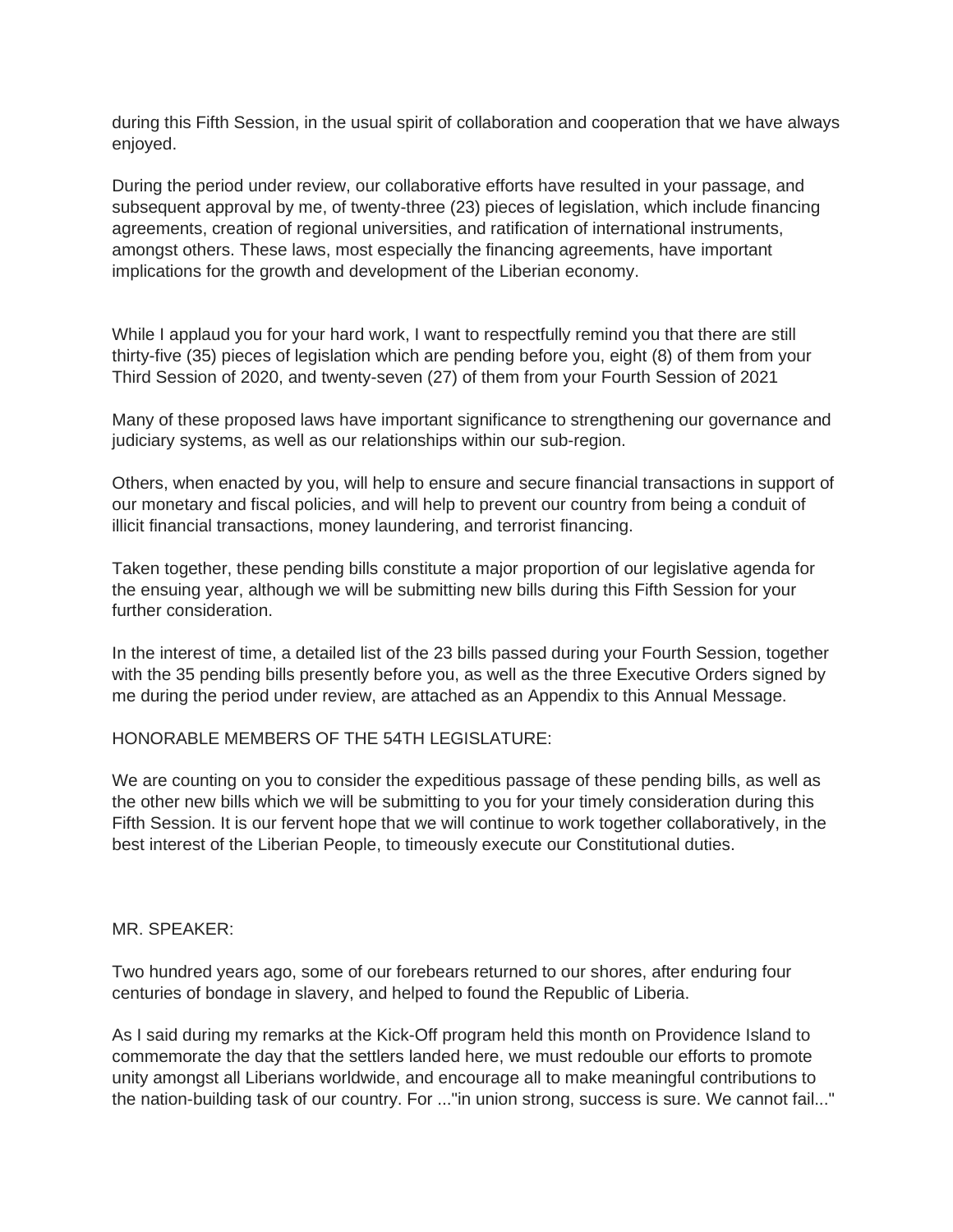during this Fifth Session, in the usual spirit of collaboration and cooperation that we have always enjoyed.

During the period under review, our collaborative efforts have resulted in your passage, and subsequent approval by me, of twenty-three (23) pieces of legislation, which include financing agreements, creation of regional universities, and ratification of international instruments, amongst others. These laws, most especially the financing agreements, have important implications for the growth and development of the Liberian economy.

While I applaud you for your hard work, I want to respectfully remind you that there are still thirty-five (35) pieces of legislation which are pending before you, eight (8) of them from your Third Session of 2020, and twenty-seven (27) of them from your Fourth Session of 2021

Many of these proposed laws have important significance to strengthening our governance and judiciary systems, as well as our relationships within our sub-region.

Others, when enacted by you, will help to ensure and secure financial transactions in support of our monetary and fiscal policies, and will help to prevent our country from being a conduit of illicit financial transactions, money laundering, and terrorist financing.

Taken together, these pending bills constitute a major proportion of our legislative agenda for the ensuing year, although we will be submitting new bills during this Fifth Session for your further consideration.

In the interest of time, a detailed list of the 23 bills passed during your Fourth Session, together with the 35 pending bills presently before you, as well as the three Executive Orders signed by me during the period under review, are attached as an Appendix to this Annual Message.

### HONORABLE MEMBERS OF THE 54TH LEGISLATURE:

We are counting on you to consider the expeditious passage of these pending bills, as well as the other new bills which we will be submitting to you for your timely consideration during this Fifth Session. It is our fervent hope that we will continue to work together collaboratively, in the best interest of the Liberian People, to timeously execute our Constitutional duties.

#### MR. SPEAKER:

Two hundred years ago, some of our forebears returned to our shores, after enduring four centuries of bondage in slavery, and helped to found the Republic of Liberia.

As I said during my remarks at the Kick-Off program held this month on Providence Island to commemorate the day that the settlers landed here, we must redouble our efforts to promote unity amongst all Liberians worldwide, and encourage all to make meaningful contributions to the nation-building task of our country. For ..."in union strong, success is sure. We cannot fail..."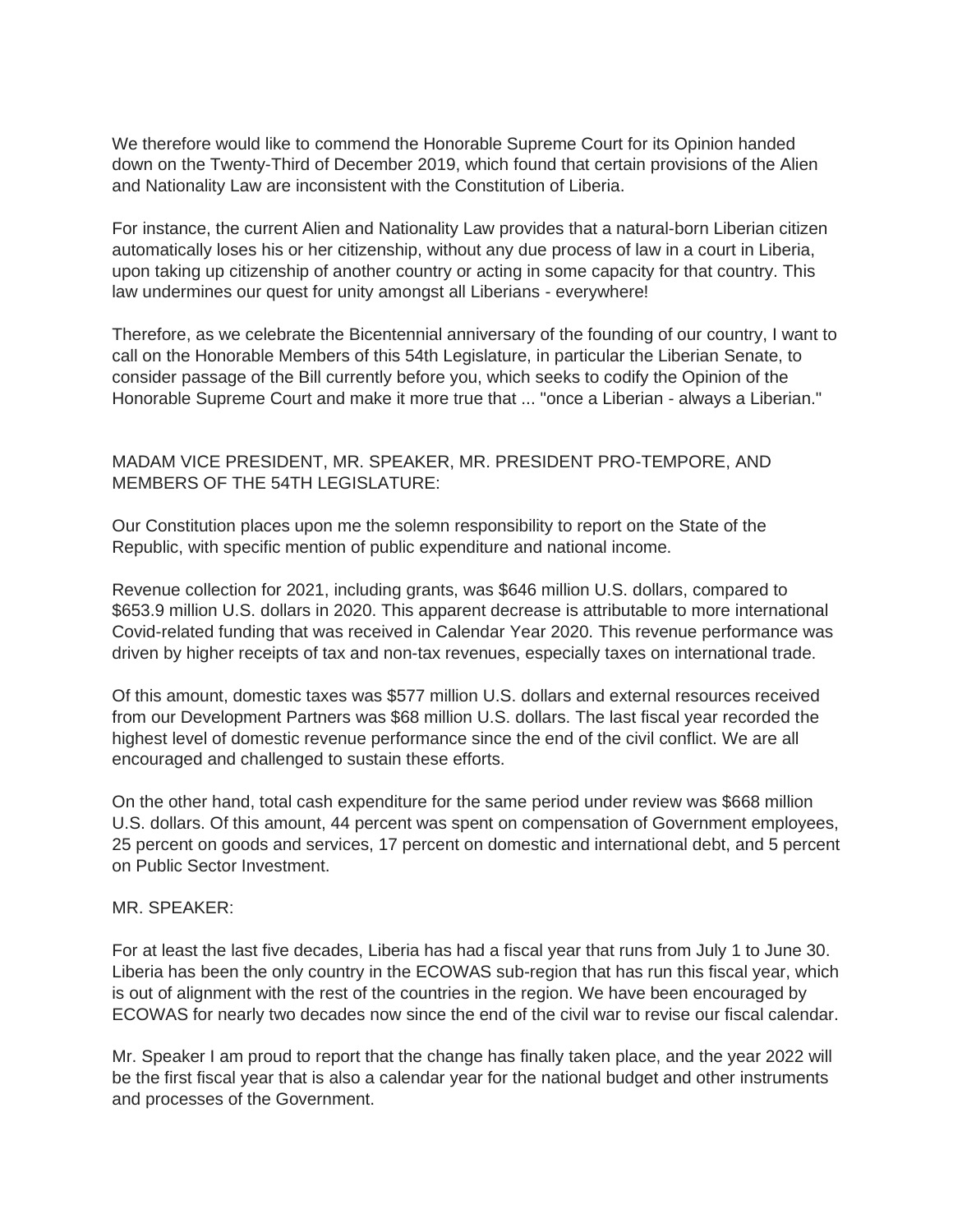We therefore would like to commend the Honorable Supreme Court for its Opinion handed down on the Twenty-Third of December 2019, which found that certain provisions of the Alien and Nationality Law are inconsistent with the Constitution of Liberia.

For instance, the current Alien and Nationality Law provides that a natural-born Liberian citizen automatically loses his or her citizenship, without any due process of law in a court in Liberia, upon taking up citizenship of another country or acting in some capacity for that country. This law undermines our quest for unity amongst all Liberians - everywhere!

Therefore, as we celebrate the Bicentennial anniversary of the founding of our country, I want to call on the Honorable Members of this 54th Legislature, in particular the Liberian Senate, to consider passage of the Bill currently before you, which seeks to codify the Opinion of the Honorable Supreme Court and make it more true that ... "once a Liberian - always a Liberian."

# MADAM VICE PRESIDENT, MR. SPEAKER, MR. PRESIDENT PRO-TEMPORE, AND MEMBERS OF THE 54TH LEGISLATURE:

Our Constitution places upon me the solemn responsibility to report on the State of the Republic, with specific mention of public expenditure and national income.

Revenue collection for 2021, including grants, was \$646 million U.S. dollars, compared to \$653.9 million U.S. dollars in 2020. This apparent decrease is attributable to more international Covid-related funding that was received in Calendar Year 2020. This revenue performance was driven by higher receipts of tax and non-tax revenues, especially taxes on international trade.

Of this amount, domestic taxes was \$577 million U.S. dollars and external resources received from our Development Partners was \$68 million U.S. dollars. The last fiscal year recorded the highest level of domestic revenue performance since the end of the civil conflict. We are all encouraged and challenged to sustain these efforts.

On the other hand, total cash expenditure for the same period under review was \$668 million U.S. dollars. Of this amount, 44 percent was spent on compensation of Government employees, 25 percent on goods and services, 17 percent on domestic and international debt, and 5 percent on Public Sector Investment.

#### MR. SPEAKER:

For at least the last five decades, Liberia has had a fiscal year that runs from July 1 to June 30. Liberia has been the only country in the ECOWAS sub-region that has run this fiscal year, which is out of alignment with the rest of the countries in the region. We have been encouraged by ECOWAS for nearly two decades now since the end of the civil war to revise our fiscal calendar.

Mr. Speaker I am proud to report that the change has finally taken place, and the year 2022 will be the first fiscal year that is also a calendar year for the national budget and other instruments and processes of the Government.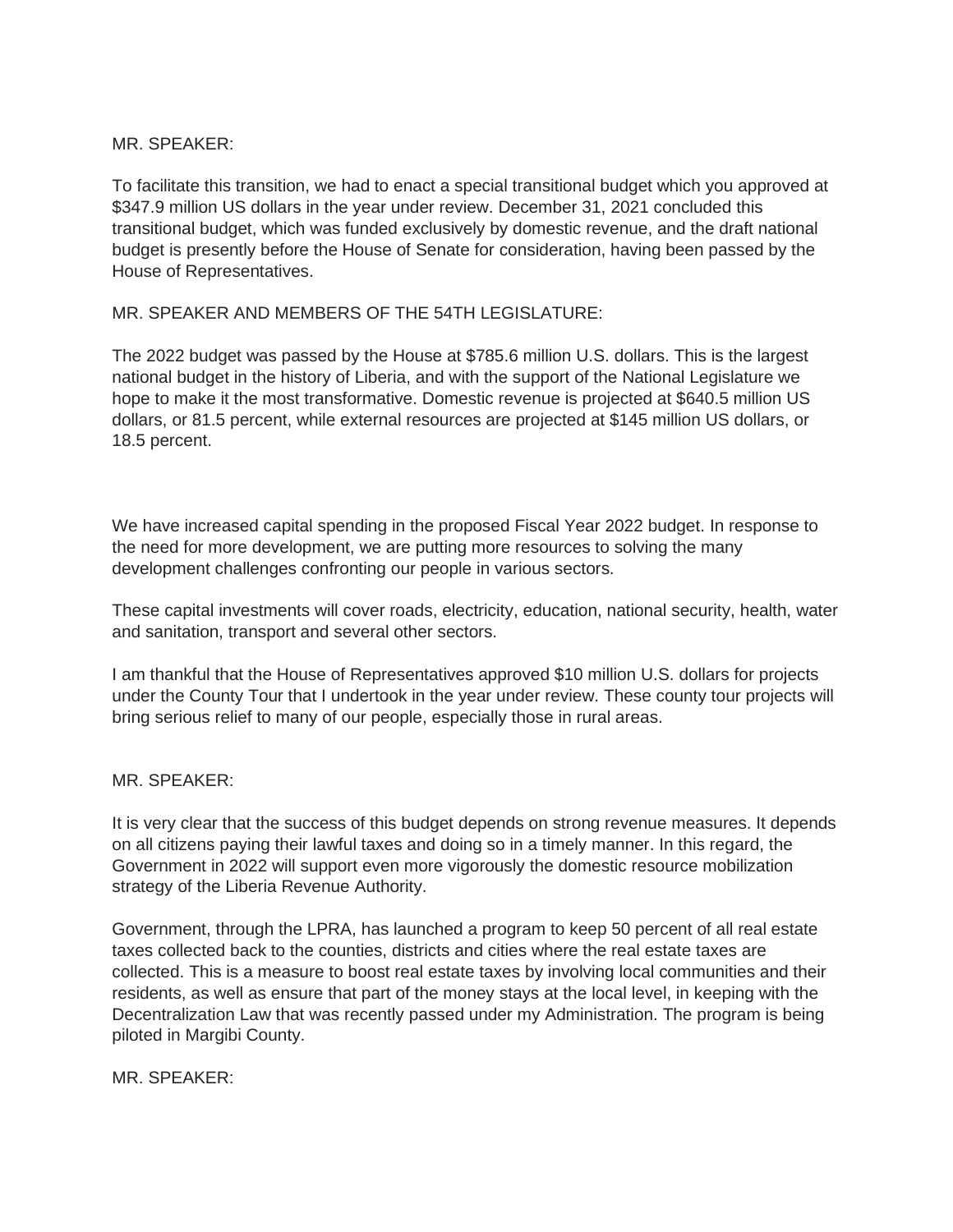### MR. SPEAKER:

To facilitate this transition, we had to enact a special transitional budget which you approved at \$347.9 million US dollars in the year under review. December 31, 2021 concluded this transitional budget, which was funded exclusively by domestic revenue, and the draft national budget is presently before the House of Senate for consideration, having been passed by the House of Representatives.

### MR. SPEAKER AND MEMBERS OF THE 54TH LEGISLATURE:

The 2022 budget was passed by the House at \$785.6 million U.S. dollars. This is the largest national budget in the history of Liberia, and with the support of the National Legislature we hope to make it the most transformative. Domestic revenue is projected at \$640.5 million US dollars, or 81.5 percent, while external resources are projected at \$145 million US dollars, or 18.5 percent.

We have increased capital spending in the proposed Fiscal Year 2022 budget. In response to the need for more development, we are putting more resources to solving the many development challenges confronting our people in various sectors.

These capital investments will cover roads, electricity, education, national security, health, water and sanitation, transport and several other sectors.

I am thankful that the House of Representatives approved \$10 million U.S. dollars for projects under the County Tour that I undertook in the year under review. These county tour projects will bring serious relief to many of our people, especially those in rural areas.

### MR. SPEAKER:

It is very clear that the success of this budget depends on strong revenue measures. It depends on all citizens paying their lawful taxes and doing so in a timely manner. In this regard, the Government in 2022 will support even more vigorously the domestic resource mobilization strategy of the Liberia Revenue Authority.

Government, through the LPRA, has launched a program to keep 50 percent of all real estate taxes collected back to the counties, districts and cities where the real estate taxes are collected. This is a measure to boost real estate taxes by involving local communities and their residents, as well as ensure that part of the money stays at the local level, in keeping with the Decentralization Law that was recently passed under my Administration. The program is being piloted in Margibi County.

MR. SPEAKER: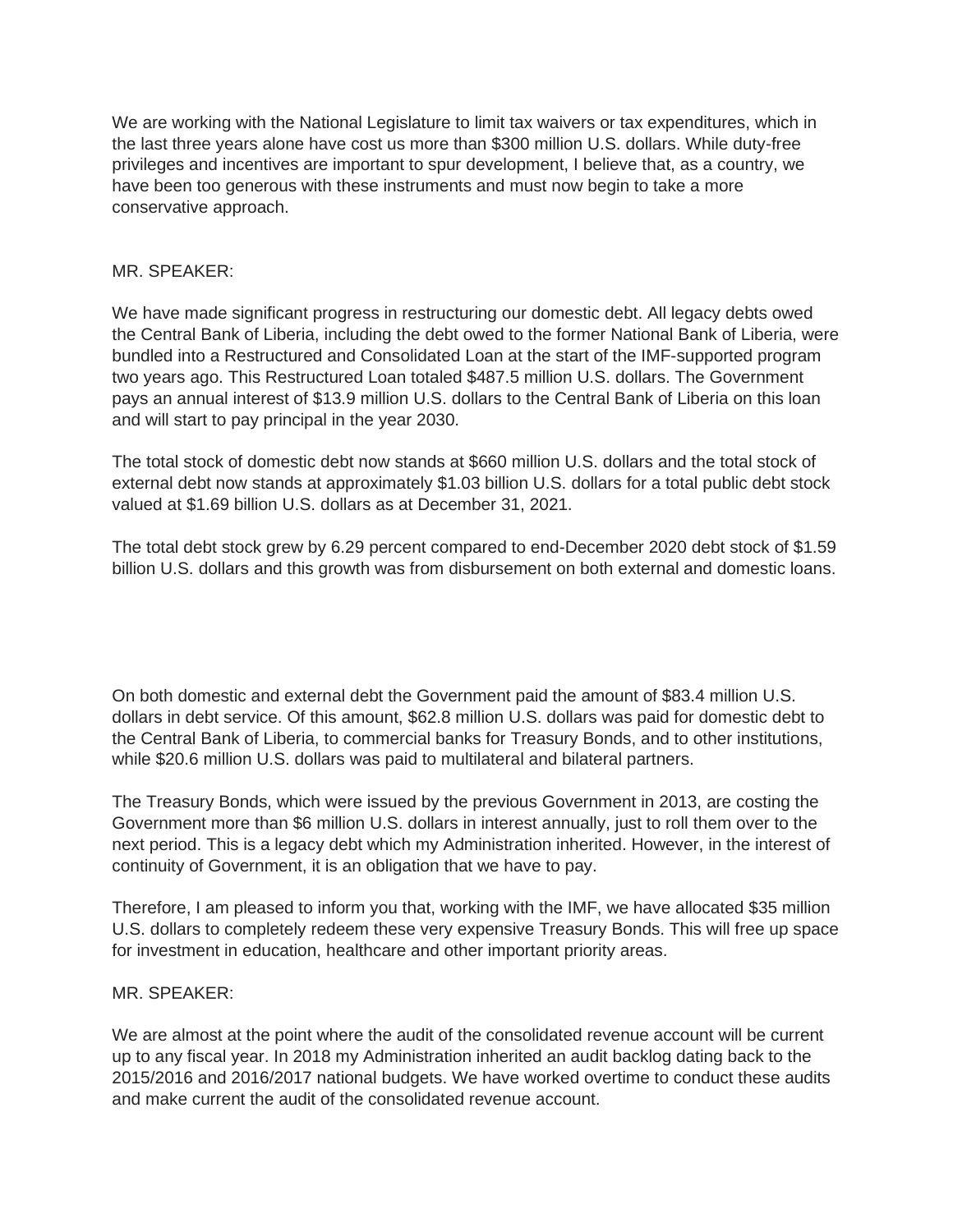We are working with the National Legislature to limit tax waivers or tax expenditures, which in the last three years alone have cost us more than \$300 million U.S. dollars. While duty-free privileges and incentives are important to spur development, I believe that, as a country, we have been too generous with these instruments and must now begin to take a more conservative approach.

### MR. SPEAKER:

We have made significant progress in restructuring our domestic debt. All legacy debts owed the Central Bank of Liberia, including the debt owed to the former National Bank of Liberia, were bundled into a Restructured and Consolidated Loan at the start of the IMF-supported program two years ago. This Restructured Loan totaled \$487.5 million U.S. dollars. The Government pays an annual interest of \$13.9 million U.S. dollars to the Central Bank of Liberia on this loan and will start to pay principal in the year 2030.

The total stock of domestic debt now stands at \$660 million U.S. dollars and the total stock of external debt now stands at approximately \$1.03 billion U.S. dollars for a total public debt stock valued at \$1.69 billion U.S. dollars as at December 31, 2021.

The total debt stock grew by 6.29 percent compared to end-December 2020 debt stock of \$1.59 billion U.S. dollars and this growth was from disbursement on both external and domestic loans.

On both domestic and external debt the Government paid the amount of \$83.4 million U.S. dollars in debt service. Of this amount, \$62.8 million U.S. dollars was paid for domestic debt to the Central Bank of Liberia, to commercial banks for Treasury Bonds, and to other institutions, while \$20.6 million U.S. dollars was paid to multilateral and bilateral partners.

The Treasury Bonds, which were issued by the previous Government in 2013, are costing the Government more than \$6 million U.S. dollars in interest annually, just to roll them over to the next period. This is a legacy debt which my Administration inherited. However, in the interest of continuity of Government, it is an obligation that we have to pay.

Therefore, I am pleased to inform you that, working with the IMF, we have allocated \$35 million U.S. dollars to completely redeem these very expensive Treasury Bonds. This will free up space for investment in education, healthcare and other important priority areas.

### MR. SPEAKER:

We are almost at the point where the audit of the consolidated revenue account will be current up to any fiscal year. In 2018 my Administration inherited an audit backlog dating back to the 2015/2016 and 2016/2017 national budgets. We have worked overtime to conduct these audits and make current the audit of the consolidated revenue account.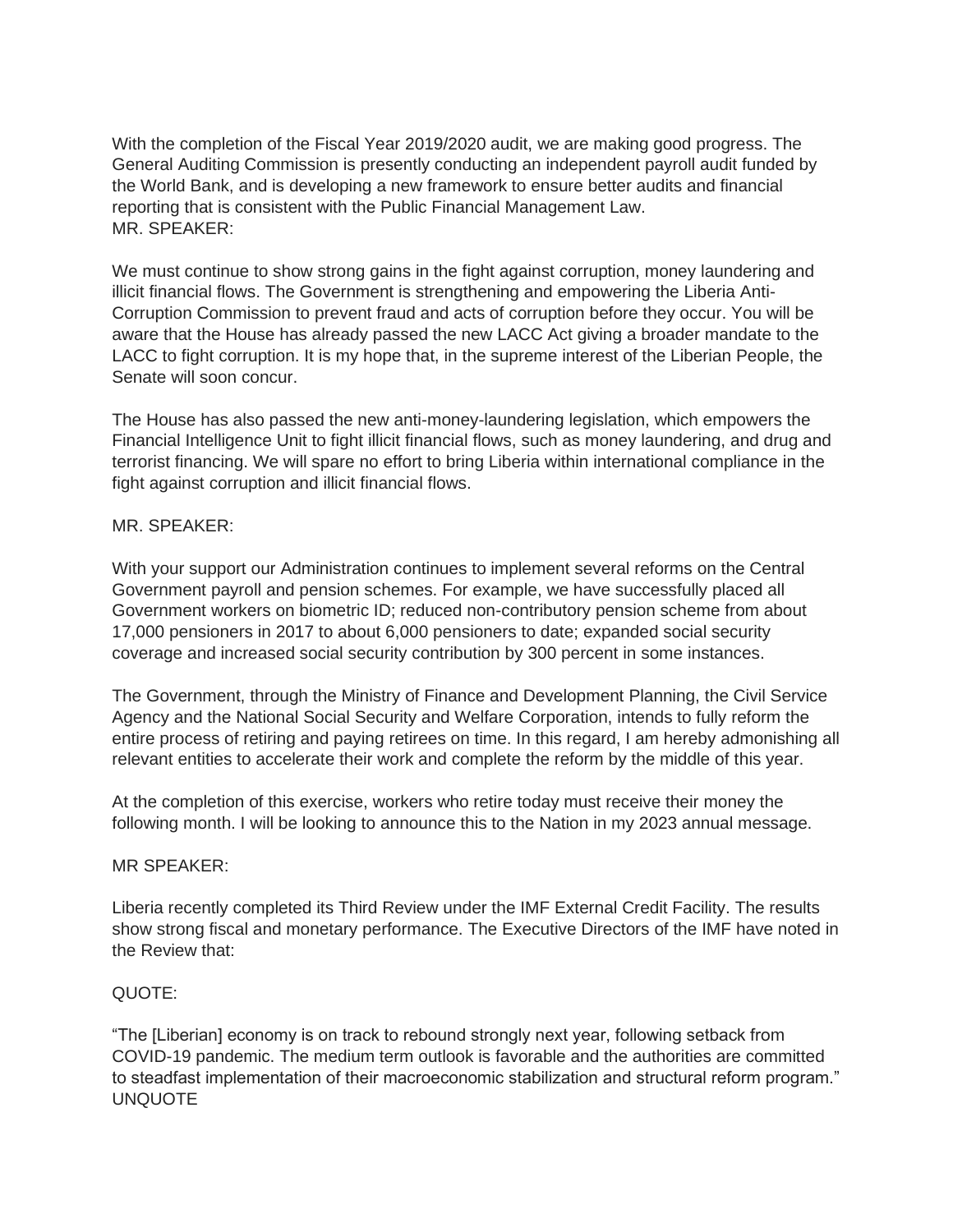With the completion of the Fiscal Year 2019/2020 audit, we are making good progress. The General Auditing Commission is presently conducting an independent payroll audit funded by the World Bank, and is developing a new framework to ensure better audits and financial reporting that is consistent with the Public Financial Management Law. MR. SPEAKER:

We must continue to show strong gains in the fight against corruption, money laundering and illicit financial flows. The Government is strengthening and empowering the Liberia Anti-Corruption Commission to prevent fraud and acts of corruption before they occur. You will be aware that the House has already passed the new LACC Act giving a broader mandate to the LACC to fight corruption. It is my hope that, in the supreme interest of the Liberian People, the Senate will soon concur.

The House has also passed the new anti-money-laundering legislation, which empowers the Financial Intelligence Unit to fight illicit financial flows, such as money laundering, and drug and terrorist financing. We will spare no effort to bring Liberia within international compliance in the fight against corruption and illicit financial flows.

### MR. SPEAKER:

With your support our Administration continues to implement several reforms on the Central Government payroll and pension schemes. For example, we have successfully placed all Government workers on biometric ID; reduced non-contributory pension scheme from about 17,000 pensioners in 2017 to about 6,000 pensioners to date; expanded social security coverage and increased social security contribution by 300 percent in some instances.

The Government, through the Ministry of Finance and Development Planning, the Civil Service Agency and the National Social Security and Welfare Corporation, intends to fully reform the entire process of retiring and paying retirees on time. In this regard, I am hereby admonishing all relevant entities to accelerate their work and complete the reform by the middle of this year.

At the completion of this exercise, workers who retire today must receive their money the following month. I will be looking to announce this to the Nation in my 2023 annual message.

#### MR SPEAKER:

Liberia recently completed its Third Review under the IMF External Credit Facility. The results show strong fiscal and monetary performance. The Executive Directors of the IMF have noted in the Review that:

### QUOTE:

"The [Liberian] economy is on track to rebound strongly next year, following setback from COVID-19 pandemic. The medium term outlook is favorable and the authorities are committed to steadfast implementation of their macroeconomic stabilization and structural reform program." UNQUOTE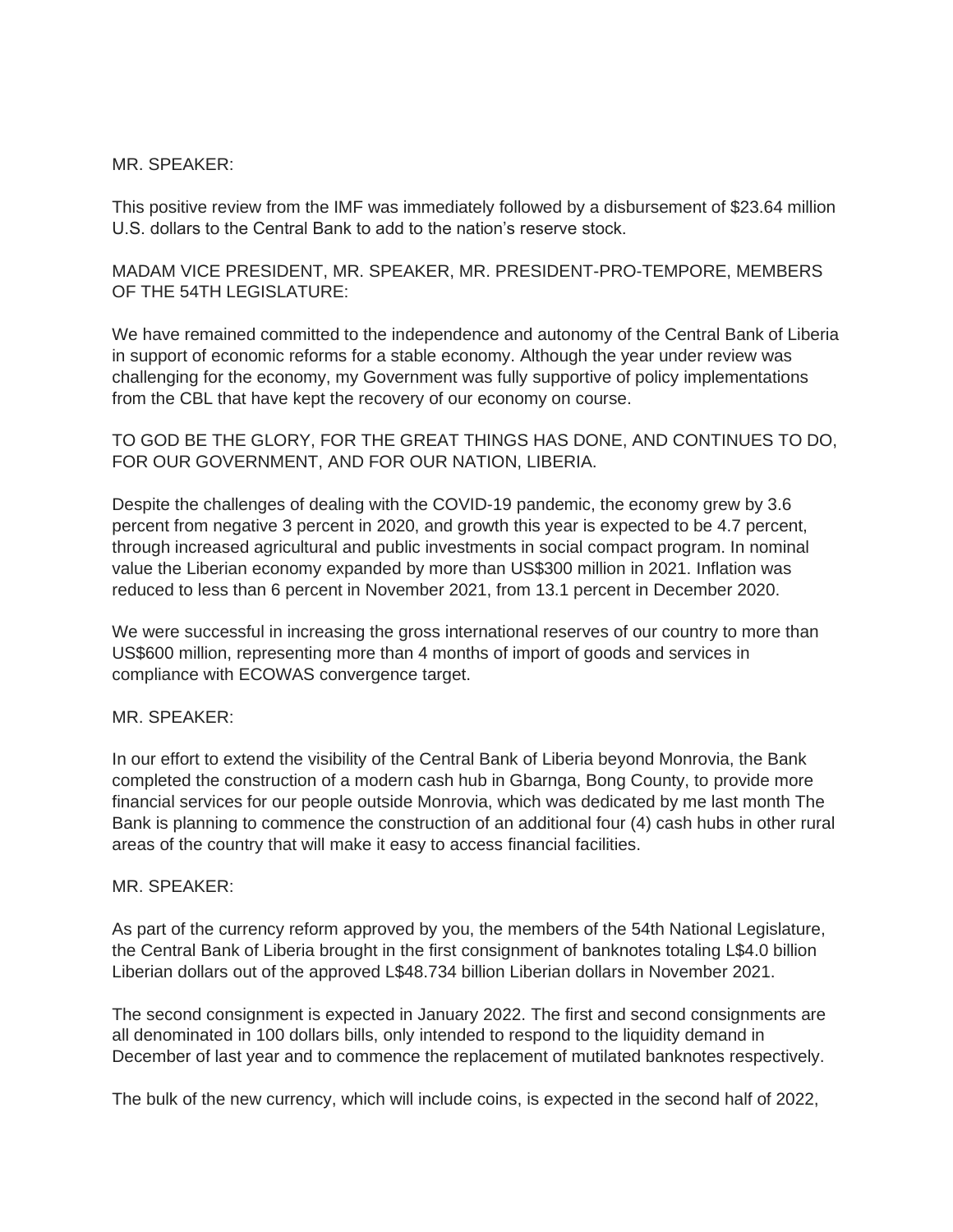### MR. SPEAKER:

This positive review from the IMF was immediately followed by a disbursement of \$23.64 million U.S. dollars to the Central Bank to add to the nation's reserve stock.

MADAM VICE PRESIDENT, MR. SPEAKER, MR. PRESIDENT-PRO-TEMPORE, MEMBERS OF THE 54TH LEGISLATURE:

We have remained committed to the independence and autonomy of the Central Bank of Liberia in support of economic reforms for a stable economy. Although the year under review was challenging for the economy, my Government was fully supportive of policy implementations from the CBL that have kept the recovery of our economy on course.

TO GOD BE THE GLORY, FOR THE GREAT THINGS HAS DONE, AND CONTINUES TO DO, FOR OUR GOVERNMENT, AND FOR OUR NATION, LIBERIA.

Despite the challenges of dealing with the COVID-19 pandemic, the economy grew by 3.6 percent from negative 3 percent in 2020, and growth this year is expected to be 4.7 percent, through increased agricultural and public investments in social compact program. In nominal value the Liberian economy expanded by more than US\$300 million in 2021. Inflation was reduced to less than 6 percent in November 2021, from 13.1 percent in December 2020.

We were successful in increasing the gross international reserves of our country to more than US\$600 million, representing more than 4 months of import of goods and services in compliance with ECOWAS convergence target.

#### MR. SPEAKER:

In our effort to extend the visibility of the Central Bank of Liberia beyond Monrovia, the Bank completed the construction of a modern cash hub in Gbarnga, Bong County, to provide more financial services for our people outside Monrovia, which was dedicated by me last month The Bank is planning to commence the construction of an additional four (4) cash hubs in other rural areas of the country that will make it easy to access financial facilities.

#### MR. SPEAKER:

As part of the currency reform approved by you, the members of the 54th National Legislature, the Central Bank of Liberia brought in the first consignment of banknotes totaling L\$4.0 billion Liberian dollars out of the approved L\$48.734 billion Liberian dollars in November 2021.

The second consignment is expected in January 2022. The first and second consignments are all denominated in 100 dollars bills, only intended to respond to the liquidity demand in December of last year and to commence the replacement of mutilated banknotes respectively.

The bulk of the new currency, which will include coins, is expected in the second half of 2022,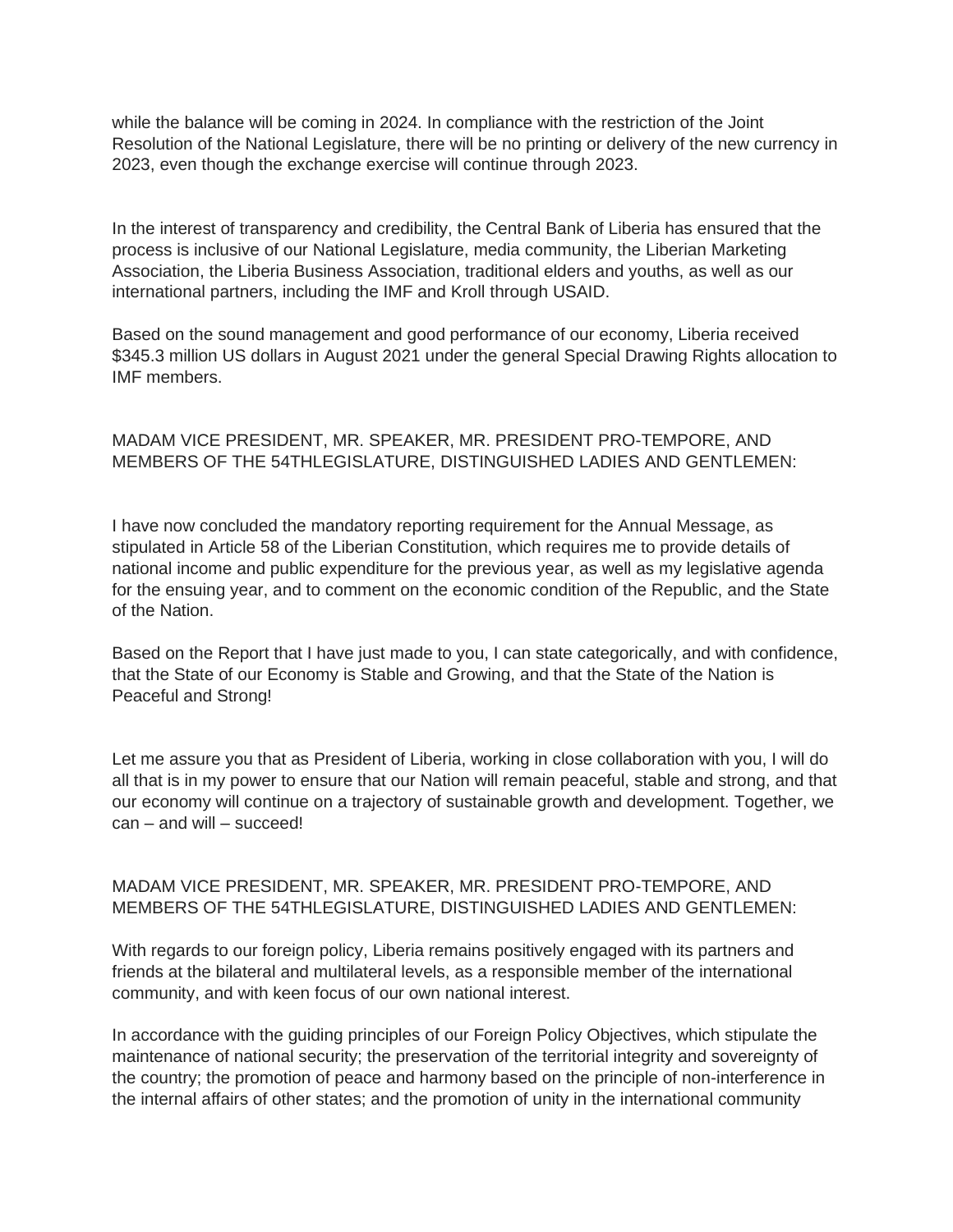while the balance will be coming in 2024. In compliance with the restriction of the Joint Resolution of the National Legislature, there will be no printing or delivery of the new currency in 2023, even though the exchange exercise will continue through 2023.

In the interest of transparency and credibility, the Central Bank of Liberia has ensured that the process is inclusive of our National Legislature, media community, the Liberian Marketing Association, the Liberia Business Association, traditional elders and youths, as well as our international partners, including the IMF and Kroll through USAID.

Based on the sound management and good performance of our economy, Liberia received \$345.3 million US dollars in August 2021 under the general Special Drawing Rights allocation to IMF members.

# MADAM VICE PRESIDENT, MR. SPEAKER, MR. PRESIDENT PRO-TEMPORE, AND MEMBERS OF THE 54THLEGISLATURE, DISTINGUISHED LADIES AND GENTLEMEN:

I have now concluded the mandatory reporting requirement for the Annual Message, as stipulated in Article 58 of the Liberian Constitution, which requires me to provide details of national income and public expenditure for the previous year, as well as my legislative agenda for the ensuing year, and to comment on the economic condition of the Republic, and the State of the Nation.

Based on the Report that I have just made to you, I can state categorically, and with confidence, that the State of our Economy is Stable and Growing, and that the State of the Nation is Peaceful and Strong!

Let me assure you that as President of Liberia, working in close collaboration with you, I will do all that is in my power to ensure that our Nation will remain peaceful, stable and strong, and that our economy will continue on a trajectory of sustainable growth and development. Together, we can – and will – succeed!

# MADAM VICE PRESIDENT, MR. SPEAKER, MR. PRESIDENT PRO-TEMPORE, AND MEMBERS OF THE 54THLEGISLATURE, DISTINGUISHED LADIES AND GENTLEMEN:

With regards to our foreign policy, Liberia remains positively engaged with its partners and friends at the bilateral and multilateral levels, as a responsible member of the international community, and with keen focus of our own national interest.

In accordance with the guiding principles of our Foreign Policy Objectives, which stipulate the maintenance of national security; the preservation of the territorial integrity and sovereignty of the country; the promotion of peace and harmony based on the principle of non-interference in the internal affairs of other states; and the promotion of unity in the international community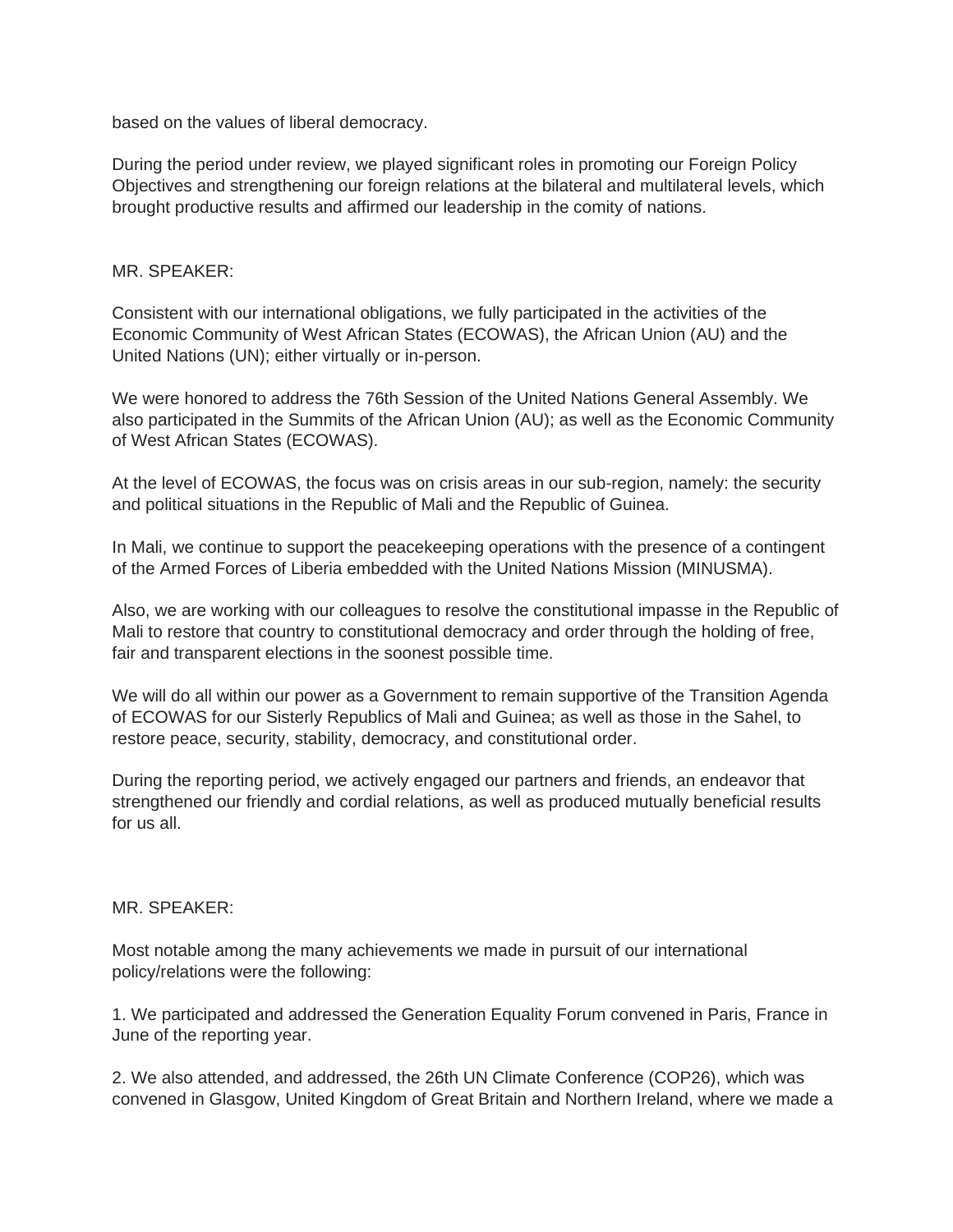based on the values of liberal democracy.

During the period under review, we played significant roles in promoting our Foreign Policy Objectives and strengthening our foreign relations at the bilateral and multilateral levels, which brought productive results and affirmed our leadership in the comity of nations.

### MR. SPEAKER:

Consistent with our international obligations, we fully participated in the activities of the Economic Community of West African States (ECOWAS), the African Union (AU) and the United Nations (UN); either virtually or in-person.

We were honored to address the 76th Session of the United Nations General Assembly. We also participated in the Summits of the African Union (AU); as well as the Economic Community of West African States (ECOWAS).

At the level of ECOWAS, the focus was on crisis areas in our sub-region, namely: the security and political situations in the Republic of Mali and the Republic of Guinea.

In Mali, we continue to support the peacekeeping operations with the presence of a contingent of the Armed Forces of Liberia embedded with the United Nations Mission (MINUSMA).

Also, we are working with our colleagues to resolve the constitutional impasse in the Republic of Mali to restore that country to constitutional democracy and order through the holding of free, fair and transparent elections in the soonest possible time.

We will do all within our power as a Government to remain supportive of the Transition Agenda of ECOWAS for our Sisterly Republics of Mali and Guinea; as well as those in the Sahel, to restore peace, security, stability, democracy, and constitutional order.

During the reporting period, we actively engaged our partners and friends, an endeavor that strengthened our friendly and cordial relations, as well as produced mutually beneficial results for us all.

#### MR. SPEAKER:

Most notable among the many achievements we made in pursuit of our international policy/relations were the following:

1. We participated and addressed the Generation Equality Forum convened in Paris, France in June of the reporting year.

2. We also attended, and addressed, the 26th UN Climate Conference (COP26), which was convened in Glasgow, United Kingdom of Great Britain and Northern Ireland, where we made a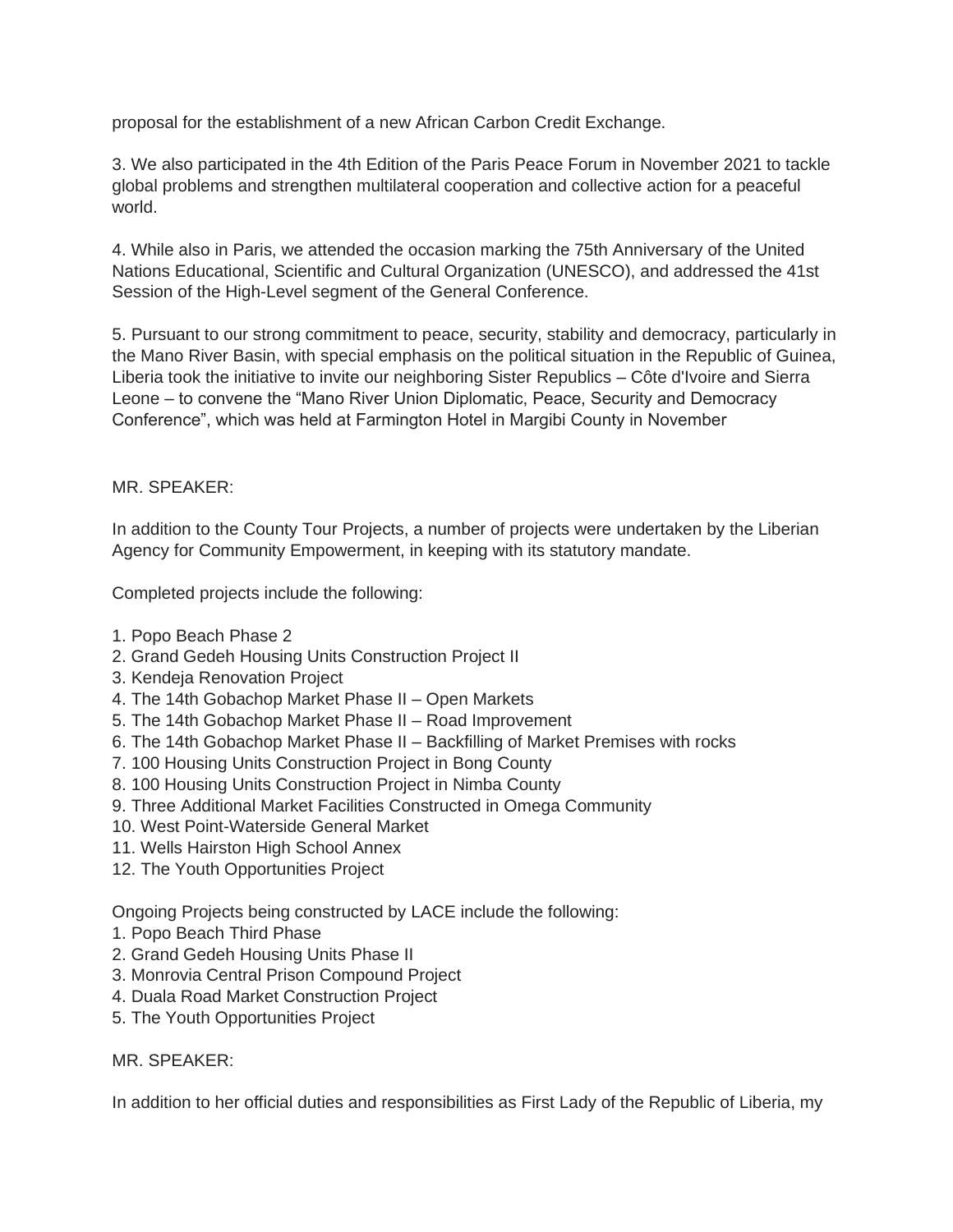proposal for the establishment of a new African Carbon Credit Exchange.

3. We also participated in the 4th Edition of the Paris Peace Forum in November 2021 to tackle global problems and strengthen multilateral cooperation and collective action for a peaceful world.

4. While also in Paris, we attended the occasion marking the 75th Anniversary of the United Nations Educational, Scientific and Cultural Organization (UNESCO), and addressed the 41st Session of the High-Level segment of the General Conference.

5. Pursuant to our strong commitment to peace, security, stability and democracy, particularly in the Mano River Basin, with special emphasis on the political situation in the Republic of Guinea, Liberia took the initiative to invite our neighboring Sister Republics – Côte d'Ivoire and Sierra Leone – to convene the "Mano River Union Diplomatic, Peace, Security and Democracy Conference", which was held at Farmington Hotel in Margibi County in November

# MR. SPEAKER:

In addition to the County Tour Projects, a number of projects were undertaken by the Liberian Agency for Community Empowerment, in keeping with its statutory mandate.

Completed projects include the following:

- 1. Popo Beach Phase 2
- 2. Grand Gedeh Housing Units Construction Project II
- 3. Kendeja Renovation Project
- 4. The 14th Gobachop Market Phase II Open Markets
- 5. The 14th Gobachop Market Phase II Road Improvement
- 6. The 14th Gobachop Market Phase II Backfilling of Market Premises with rocks
- 7. 100 Housing Units Construction Project in Bong County
- 8. 100 Housing Units Construction Project in Nimba County
- 9. Three Additional Market Facilities Constructed in Omega Community
- 10. West Point-Waterside General Market
- 11. Wells Hairston High School Annex
- 12. The Youth Opportunities Project

Ongoing Projects being constructed by LACE include the following:

- 1. Popo Beach Third Phase
- 2. Grand Gedeh Housing Units Phase II
- 3. Monrovia Central Prison Compound Project
- 4. Duala Road Market Construction Project
- 5. The Youth Opportunities Project

### MR. SPEAKER:

In addition to her official duties and responsibilities as First Lady of the Republic of Liberia, my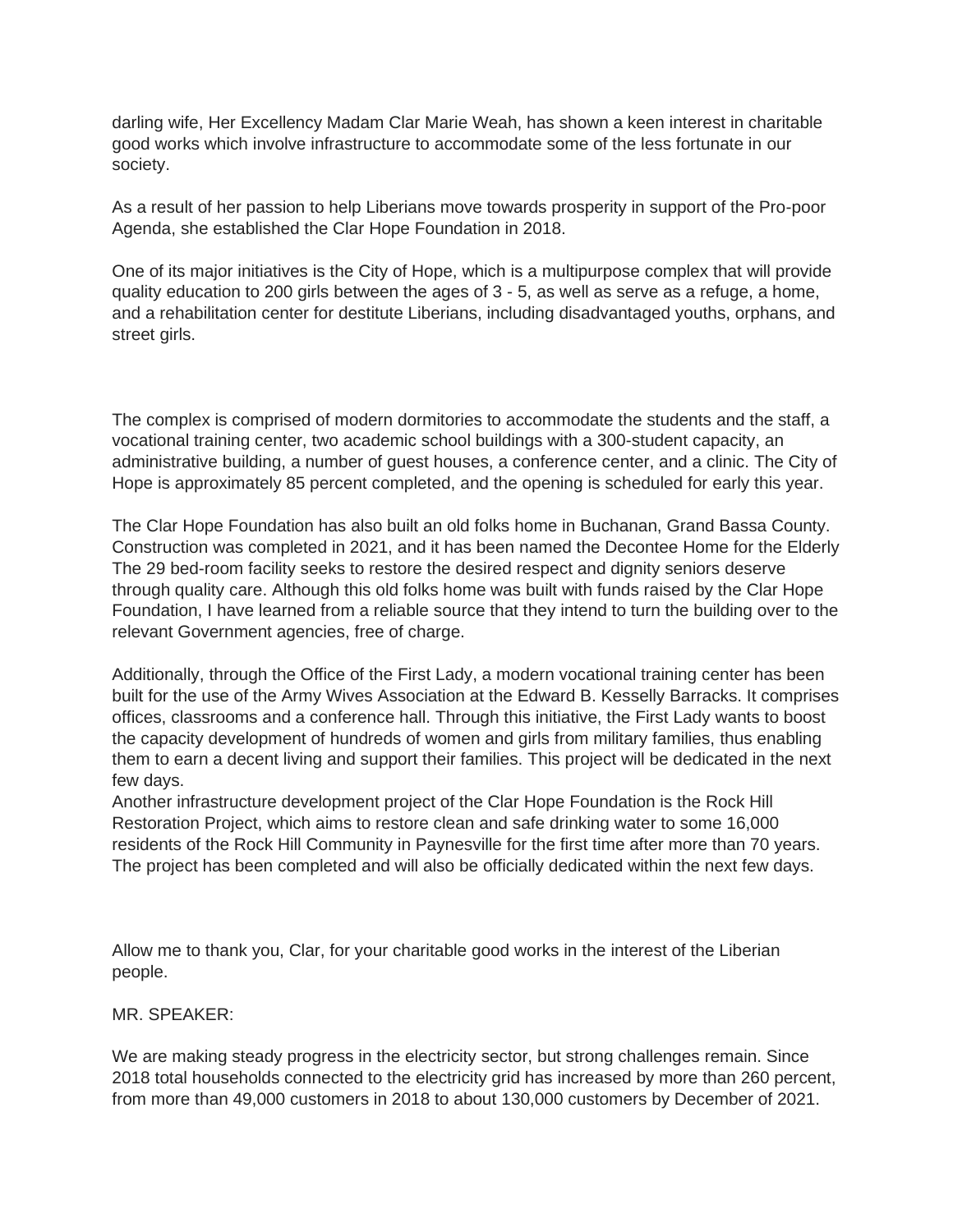darling wife, Her Excellency Madam Clar Marie Weah, has shown a keen interest in charitable good works which involve infrastructure to accommodate some of the less fortunate in our society.

As a result of her passion to help Liberians move towards prosperity in support of the Pro-poor Agenda, she established the Clar Hope Foundation in 2018.

One of its major initiatives is the City of Hope, which is a multipurpose complex that will provide quality education to 200 girls between the ages of 3 - 5, as well as serve as a refuge, a home, and a rehabilitation center for destitute Liberians, including disadvantaged youths, orphans, and street girls.

The complex is comprised of modern dormitories to accommodate the students and the staff, a vocational training center, two academic school buildings with a 300-student capacity, an administrative building, a number of guest houses, a conference center, and a clinic. The City of Hope is approximately 85 percent completed, and the opening is scheduled for early this year.

The Clar Hope Foundation has also built an old folks home in Buchanan, Grand Bassa County. Construction was completed in 2021, and it has been named the Decontee Home for the Elderly The 29 bed-room facility seeks to restore the desired respect and dignity seniors deserve through quality care. Although this old folks home was built with funds raised by the Clar Hope Foundation, I have learned from a reliable source that they intend to turn the building over to the relevant Government agencies, free of charge.

Additionally, through the Office of the First Lady, a modern vocational training center has been built for the use of the Army Wives Association at the Edward B. Kesselly Barracks. It comprises offices, classrooms and a conference hall. Through this initiative, the First Lady wants to boost the capacity development of hundreds of women and girls from military families, thus enabling them to earn a decent living and support their families. This project will be dedicated in the next few days.

Another infrastructure development project of the Clar Hope Foundation is the Rock Hill Restoration Project, which aims to restore clean and safe drinking water to some 16,000 residents of the Rock Hill Community in Paynesville for the first time after more than 70 years. The project has been completed and will also be officially dedicated within the next few days.

Allow me to thank you, Clar, for your charitable good works in the interest of the Liberian people.

MR. SPEAKER:

We are making steady progress in the electricity sector, but strong challenges remain. Since 2018 total households connected to the electricity grid has increased by more than 260 percent, from more than 49,000 customers in 2018 to about 130,000 customers by December of 2021.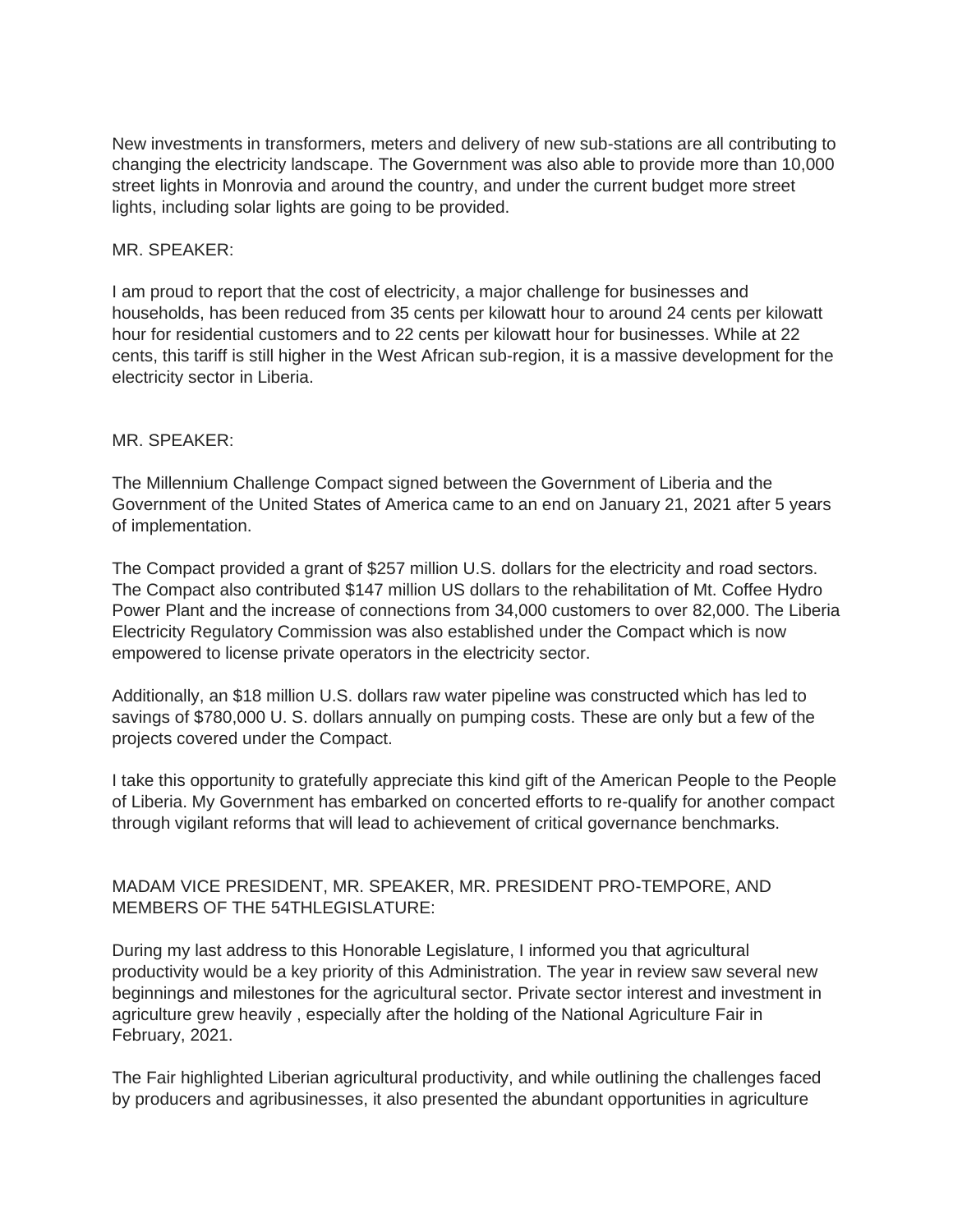New investments in transformers, meters and delivery of new sub-stations are all contributing to changing the electricity landscape. The Government was also able to provide more than 10,000 street lights in Monrovia and around the country, and under the current budget more street lights, including solar lights are going to be provided.

### MR. SPEAKER:

I am proud to report that the cost of electricity, a major challenge for businesses and households, has been reduced from 35 cents per kilowatt hour to around 24 cents per kilowatt hour for residential customers and to 22 cents per kilowatt hour for businesses. While at 22 cents, this tariff is still higher in the West African sub-region, it is a massive development for the electricity sector in Liberia.

### MR. SPEAKER:

The Millennium Challenge Compact signed between the Government of Liberia and the Government of the United States of America came to an end on January 21, 2021 after 5 years of implementation.

The Compact provided a grant of \$257 million U.S. dollars for the electricity and road sectors. The Compact also contributed \$147 million US dollars to the rehabilitation of Mt. Coffee Hydro Power Plant and the increase of connections from 34,000 customers to over 82,000. The Liberia Electricity Regulatory Commission was also established under the Compact which is now empowered to license private operators in the electricity sector.

Additionally, an \$18 million U.S. dollars raw water pipeline was constructed which has led to savings of \$780,000 U. S. dollars annually on pumping costs. These are only but a few of the projects covered under the Compact.

I take this opportunity to gratefully appreciate this kind gift of the American People to the People of Liberia. My Government has embarked on concerted efforts to re-qualify for another compact through vigilant reforms that will lead to achievement of critical governance benchmarks.

# MADAM VICE PRESIDENT, MR. SPEAKER, MR. PRESIDENT PRO-TEMPORE, AND MEMBERS OF THE 54THLEGISLATURE:

During my last address to this Honorable Legislature, I informed you that agricultural productivity would be a key priority of this Administration. The year in review saw several new beginnings and milestones for the agricultural sector. Private sector interest and investment in agriculture grew heavily , especially after the holding of the National Agriculture Fair in February, 2021.

The Fair highlighted Liberian agricultural productivity, and while outlining the challenges faced by producers and agribusinesses, it also presented the abundant opportunities in agriculture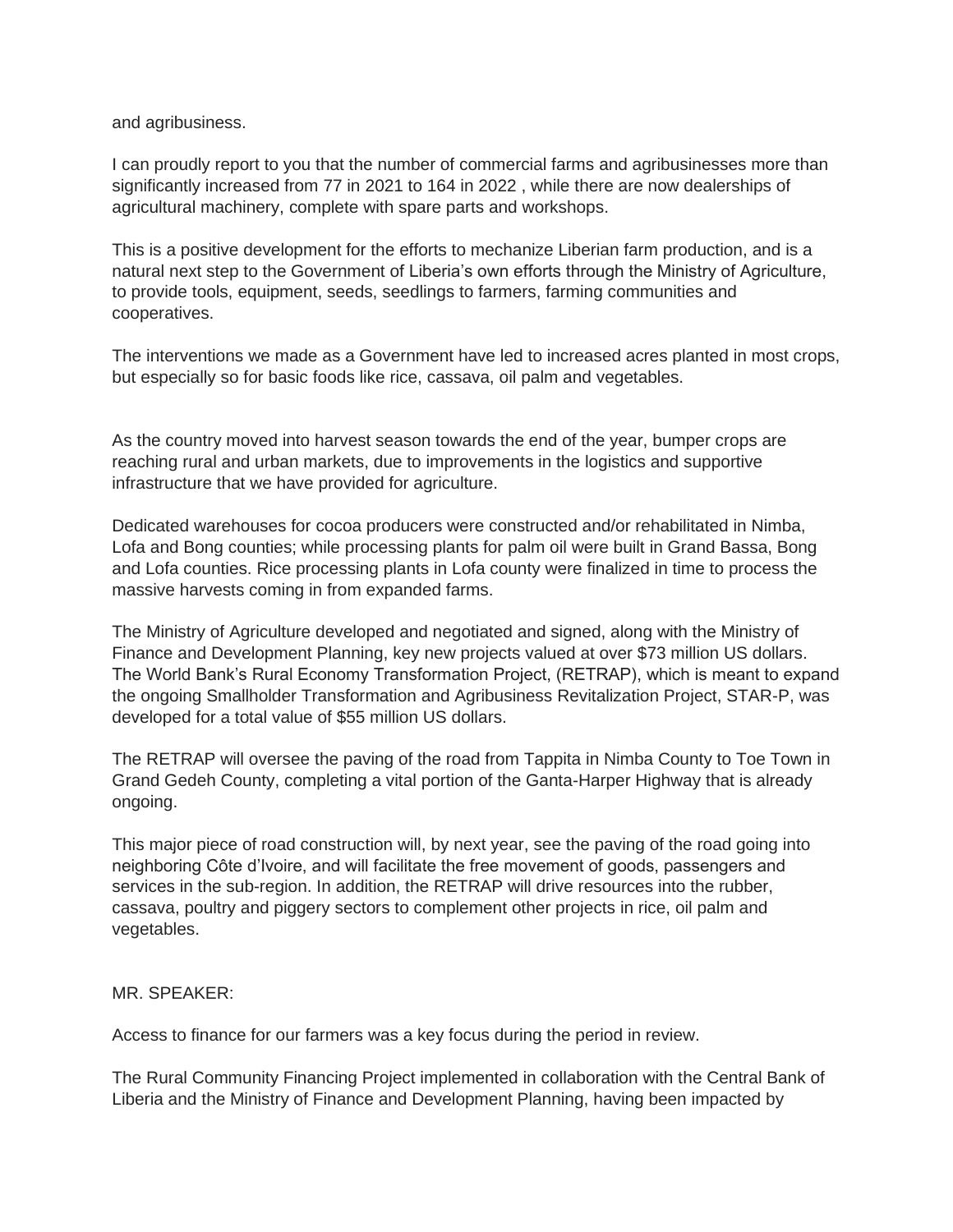and agribusiness.

I can proudly report to you that the number of commercial farms and agribusinesses more than significantly increased from 77 in 2021 to 164 in 2022 , while there are now dealerships of agricultural machinery, complete with spare parts and workshops.

This is a positive development for the efforts to mechanize Liberian farm production, and is a natural next step to the Government of Liberia's own efforts through the Ministry of Agriculture, to provide tools, equipment, seeds, seedlings to farmers, farming communities and cooperatives.

The interventions we made as a Government have led to increased acres planted in most crops, but especially so for basic foods like rice, cassava, oil palm and vegetables.

As the country moved into harvest season towards the end of the year, bumper crops are reaching rural and urban markets, due to improvements in the logistics and supportive infrastructure that we have provided for agriculture.

Dedicated warehouses for cocoa producers were constructed and/or rehabilitated in Nimba, Lofa and Bong counties; while processing plants for palm oil were built in Grand Bassa, Bong and Lofa counties. Rice processing plants in Lofa county were finalized in time to process the massive harvests coming in from expanded farms.

The Ministry of Agriculture developed and negotiated and signed, along with the Ministry of Finance and Development Planning, key new projects valued at over \$73 million US dollars. The World Bank's Rural Economy Transformation Project, (RETRAP), which is meant to expand the ongoing Smallholder Transformation and Agribusiness Revitalization Project, STAR-P, was developed for a total value of \$55 million US dollars.

The RETRAP will oversee the paving of the road from Tappita in Nimba County to Toe Town in Grand Gedeh County, completing a vital portion of the Ganta-Harper Highway that is already ongoing.

This major piece of road construction will, by next year, see the paving of the road going into neighboring Côte d'Ivoire, and will facilitate the free movement of goods, passengers and services in the sub-region. In addition, the RETRAP will drive resources into the rubber, cassava, poultry and piggery sectors to complement other projects in rice, oil palm and vegetables.

MR. SPEAKER:

Access to finance for our farmers was a key focus during the period in review.

The Rural Community Financing Project implemented in collaboration with the Central Bank of Liberia and the Ministry of Finance and Development Planning, having been impacted by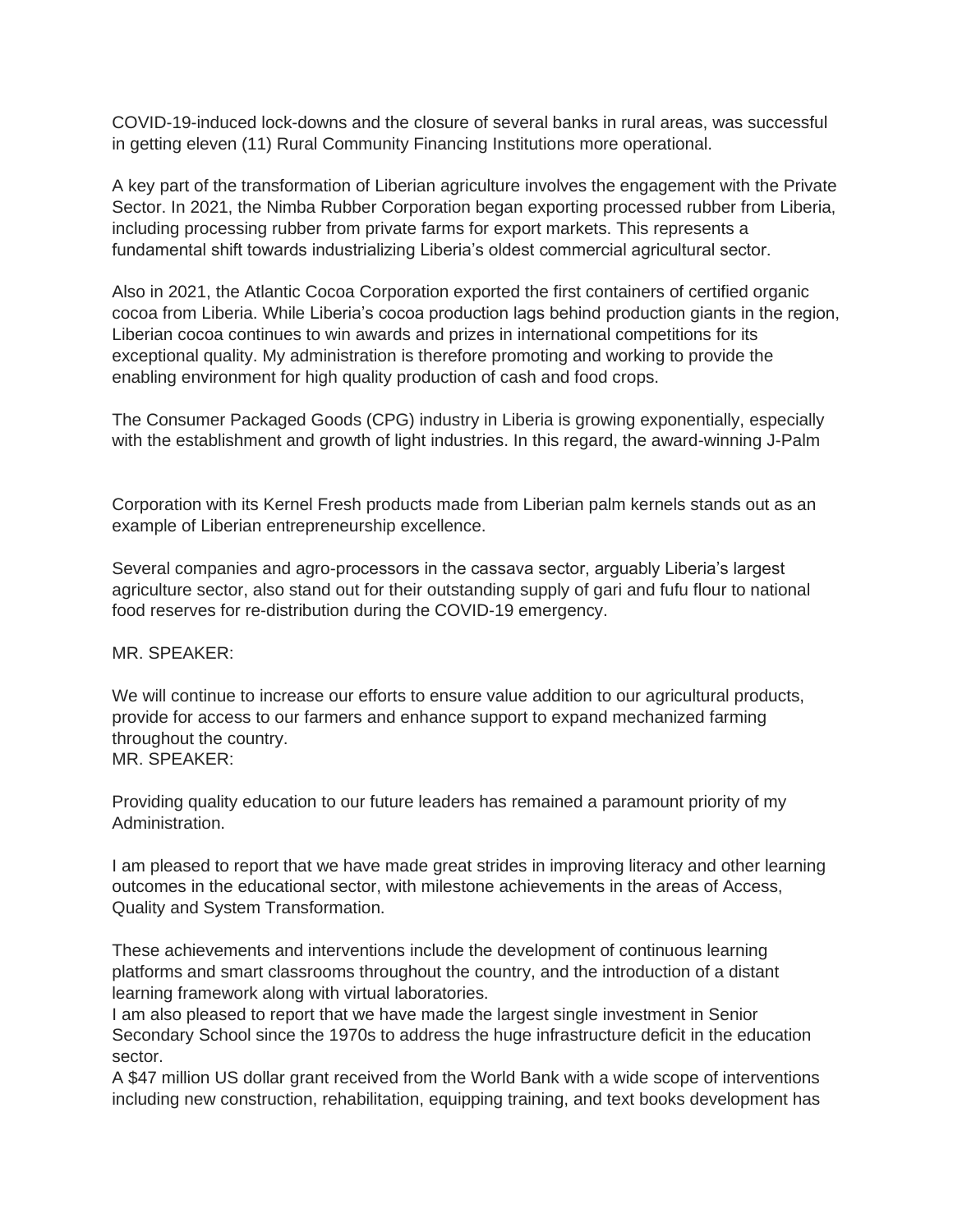COVID-19-induced lock-downs and the closure of several banks in rural areas, was successful in getting eleven (11) Rural Community Financing Institutions more operational.

A key part of the transformation of Liberian agriculture involves the engagement with the Private Sector. In 2021, the Nimba Rubber Corporation began exporting processed rubber from Liberia, including processing rubber from private farms for export markets. This represents a fundamental shift towards industrializing Liberia's oldest commercial agricultural sector.

Also in 2021, the Atlantic Cocoa Corporation exported the first containers of certified organic cocoa from Liberia. While Liberia's cocoa production lags behind production giants in the region, Liberian cocoa continues to win awards and prizes in international competitions for its exceptional quality. My administration is therefore promoting and working to provide the enabling environment for high quality production of cash and food crops.

The Consumer Packaged Goods (CPG) industry in Liberia is growing exponentially, especially with the establishment and growth of light industries. In this regard, the award-winning J-Palm

Corporation with its Kernel Fresh products made from Liberian palm kernels stands out as an example of Liberian entrepreneurship excellence.

Several companies and agro-processors in the cassava sector, arguably Liberia's largest agriculture sector, also stand out for their outstanding supply of gari and fufu flour to national food reserves for re-distribution during the COVID-19 emergency.

MR. SPEAKER:

We will continue to increase our efforts to ensure value addition to our agricultural products, provide for access to our farmers and enhance support to expand mechanized farming throughout the country. MR. SPEAKER:

Providing quality education to our future leaders has remained a paramount priority of my Administration.

I am pleased to report that we have made great strides in improving literacy and other learning outcomes in the educational sector, with milestone achievements in the areas of Access, Quality and System Transformation.

These achievements and interventions include the development of continuous learning platforms and smart classrooms throughout the country, and the introduction of a distant learning framework along with virtual laboratories.

I am also pleased to report that we have made the largest single investment in Senior Secondary School since the 1970s to address the huge infrastructure deficit in the education sector.

A \$47 million US dollar grant received from the World Bank with a wide scope of interventions including new construction, rehabilitation, equipping training, and text books development has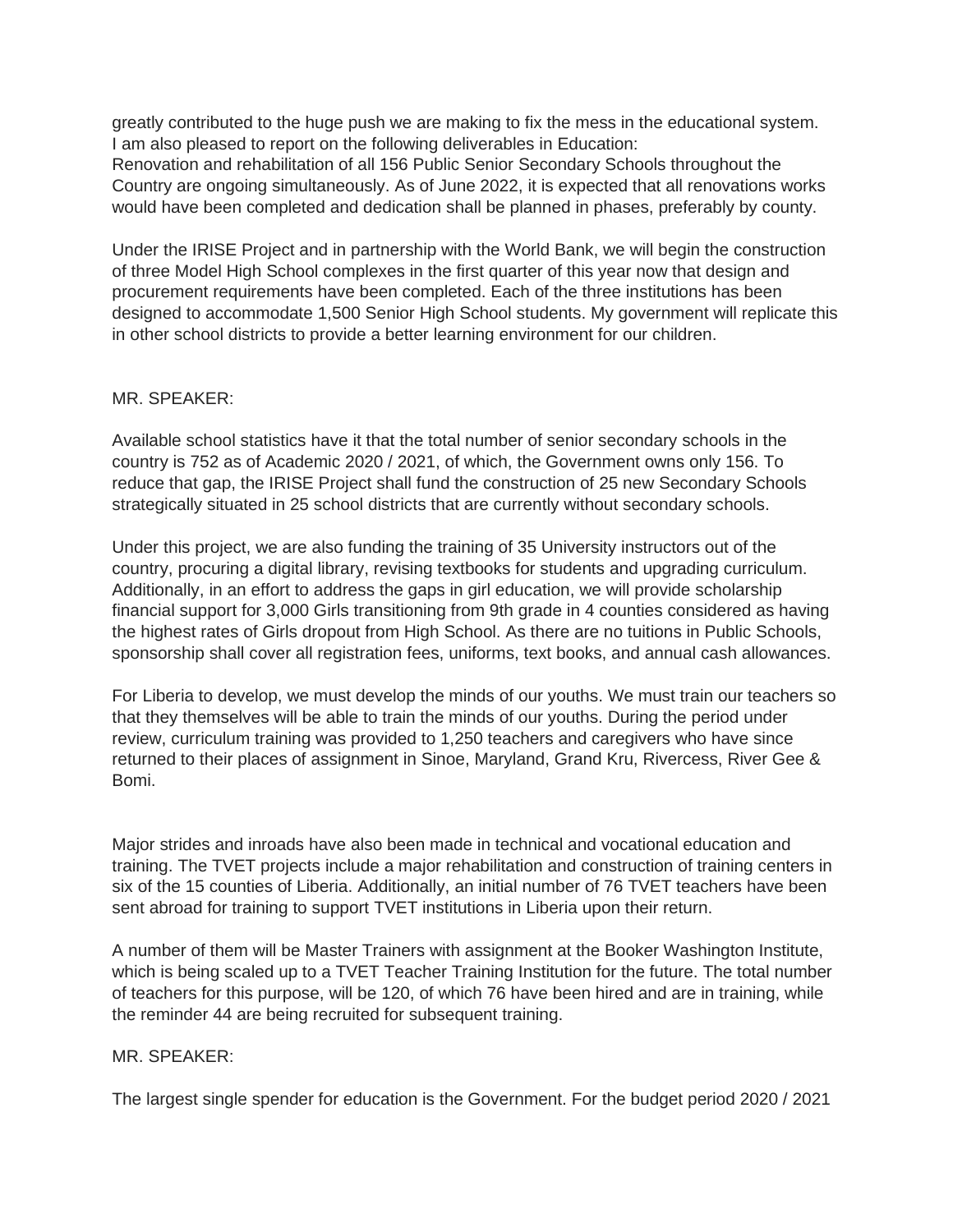greatly contributed to the huge push we are making to fix the mess in the educational system. I am also pleased to report on the following deliverables in Education: Renovation and rehabilitation of all 156 Public Senior Secondary Schools throughout the Country are ongoing simultaneously. As of June 2022, it is expected that all renovations works would have been completed and dedication shall be planned in phases, preferably by county.

Under the IRISE Project and in partnership with the World Bank, we will begin the construction of three Model High School complexes in the first quarter of this year now that design and procurement requirements have been completed. Each of the three institutions has been designed to accommodate 1,500 Senior High School students. My government will replicate this in other school districts to provide a better learning environment for our children.

### MR. SPEAKER:

Available school statistics have it that the total number of senior secondary schools in the country is 752 as of Academic 2020 / 2021, of which, the Government owns only 156. To reduce that gap, the IRISE Project shall fund the construction of 25 new Secondary Schools strategically situated in 25 school districts that are currently without secondary schools.

Under this project, we are also funding the training of 35 University instructors out of the country, procuring a digital library, revising textbooks for students and upgrading curriculum. Additionally, in an effort to address the gaps in girl education, we will provide scholarship financial support for 3,000 Girls transitioning from 9th grade in 4 counties considered as having the highest rates of Girls dropout from High School. As there are no tuitions in Public Schools, sponsorship shall cover all registration fees, uniforms, text books, and annual cash allowances.

For Liberia to develop, we must develop the minds of our youths. We must train our teachers so that they themselves will be able to train the minds of our youths. During the period under review, curriculum training was provided to 1,250 teachers and caregivers who have since returned to their places of assignment in Sinoe, Maryland, Grand Kru, Rivercess, River Gee & Bomi.

Major strides and inroads have also been made in technical and vocational education and training. The TVET projects include a major rehabilitation and construction of training centers in six of the 15 counties of Liberia. Additionally, an initial number of 76 TVET teachers have been sent abroad for training to support TVET institutions in Liberia upon their return.

A number of them will be Master Trainers with assignment at the Booker Washington Institute, which is being scaled up to a TVET Teacher Training Institution for the future. The total number of teachers for this purpose, will be 120, of which 76 have been hired and are in training, while the reminder 44 are being recruited for subsequent training.

#### MR. SPEAKER:

The largest single spender for education is the Government. For the budget period 2020 / 2021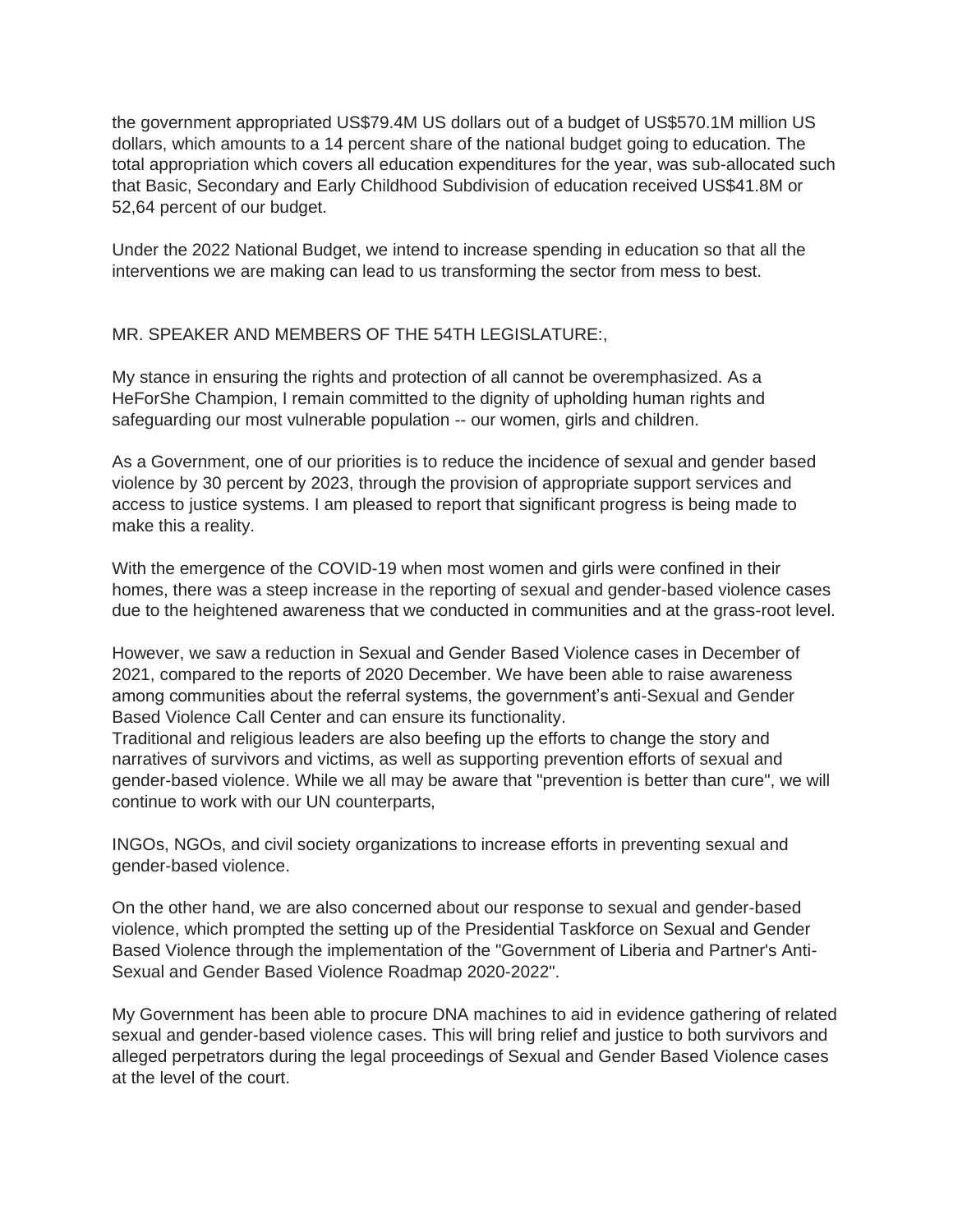the government appropriated US\$79.4M US dollars out of a budget of US\$570.1M million US dollars, which amounts to a 14 percent share of the national budget going to education. The total appropriation which covers all education expenditures for the year, was sub-allocated such that Basic, Secondary and Early Childhood Subdivision of education received US\$41.8M or 52,64 percent of our budget.

Under the 2022 National Budget, we intend to increase spending in education so that all the interventions we are making can lead to us transforming the sector from mess to best.

# MR. SPEAKER AND MEMBERS OF THE 54TH LEGISLATURE:,

My stance in ensuring the rights and protection of all cannot be overemphasized. As a HeForShe Champion, I remain committed to the dignity of upholding human rights and safeguarding our most vulnerable population -- our women, girls and children.

As a Government, one of our priorities is to reduce the incidence of sexual and gender based violence by 30 percent by 2023, through the provision of appropriate support services and access to justice systems. I am pleased to report that significant progress is being made to make this a reality.

With the emergence of the COVID-19 when most women and girls were confined in their homes, there was a steep increase in the reporting of sexual and gender-based violence cases due to the heightened awareness that we conducted in communities and at the grass-root level.

However, we saw a reduction in Sexual and Gender Based Violence cases in December of 2021, compared to the reports of 2020 December. We have been able to raise awareness among communities about the referral systems, the government's anti-Sexual and Gender Based Violence Call Center and can ensure its functionality.

Traditional and religious leaders are also beefing up the efforts to change the story and narratives of survivors and victims, as well as supporting prevention efforts of sexual and gender-based violence. While we all may be aware that "prevention is better than cure", we will continue to work with our UN counterparts,

INGOs, NGOs, and civil society organizations to increase efforts in preventing sexual and gender-based violence.

On the other hand, we are also concerned about our response to sexual and gender-based violence, which prompted the setting up of the Presidential Taskforce on Sexual and Gender Based Violence through the implementation of the "Government of Liberia and Partner's Anti-Sexual and Gender Based Violence Roadmap 2020-2022".

My Government has been able to procure DNA machines to aid in evidence gathering of related sexual and gender-based violence cases. This will bring relief and justice to both survivors and alleged perpetrators during the legal proceedings of Sexual and Gender Based Violence cases at the level of the court.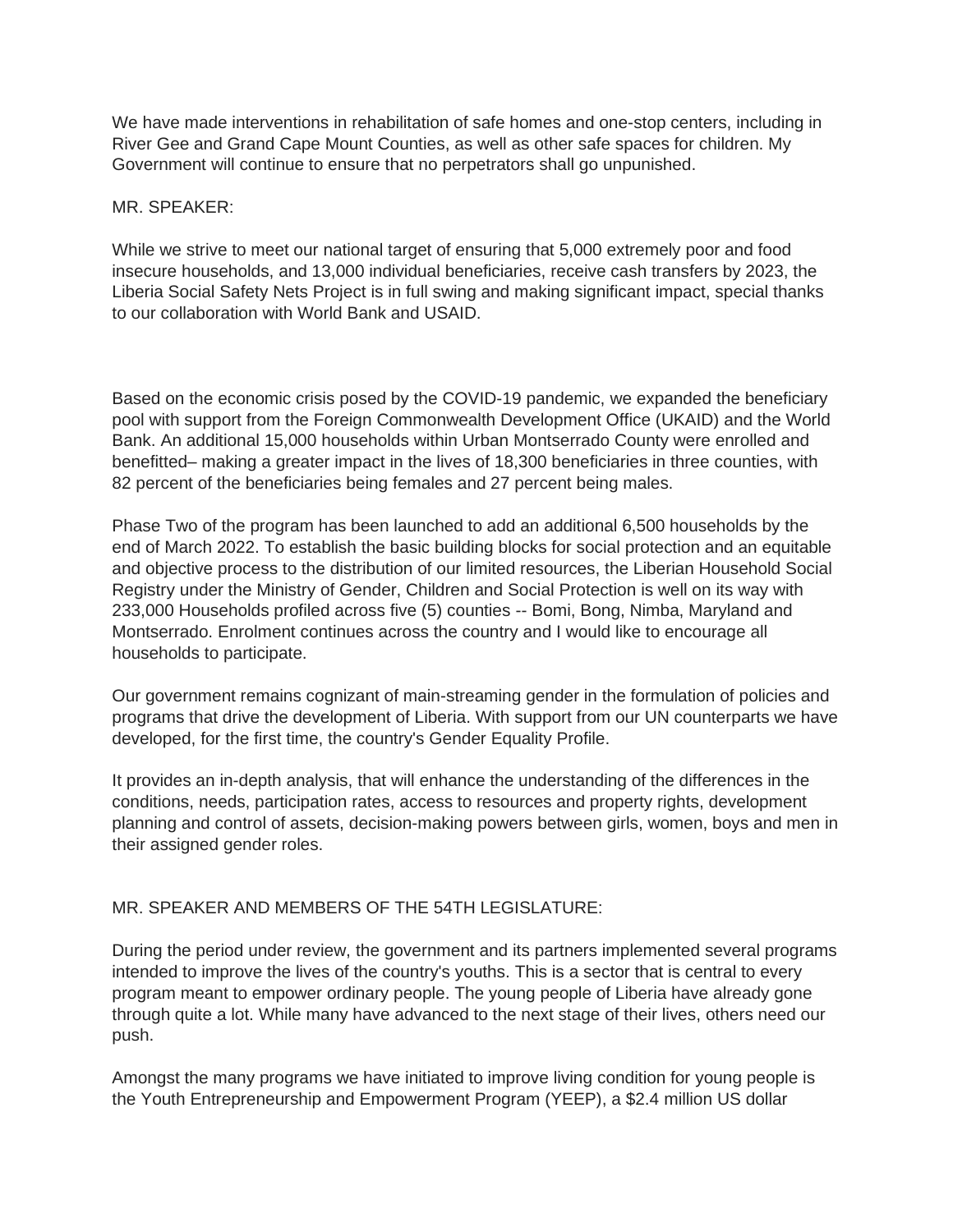We have made interventions in rehabilitation of safe homes and one-stop centers, including in River Gee and Grand Cape Mount Counties, as well as other safe spaces for children. My Government will continue to ensure that no perpetrators shall go unpunished.

### MR. SPEAKER:

While we strive to meet our national target of ensuring that 5,000 extremely poor and food insecure households, and 13,000 individual beneficiaries, receive cash transfers by 2023, the Liberia Social Safety Nets Project is in full swing and making significant impact, special thanks to our collaboration with World Bank and USAID.

Based on the economic crisis posed by the COVID-19 pandemic, we expanded the beneficiary pool with support from the Foreign Commonwealth Development Office (UKAID) and the World Bank. An additional 15,000 households within Urban Montserrado County were enrolled and benefitted– making a greater impact in the lives of 18,300 beneficiaries in three counties, with 82 percent of the beneficiaries being females and 27 percent being males.

Phase Two of the program has been launched to add an additional 6,500 households by the end of March 2022. To establish the basic building blocks for social protection and an equitable and objective process to the distribution of our limited resources, the Liberian Household Social Registry under the Ministry of Gender, Children and Social Protection is well on its way with 233,000 Households profiled across five (5) counties -- Bomi, Bong, Nimba, Maryland and Montserrado. Enrolment continues across the country and I would like to encourage all households to participate.

Our government remains cognizant of main-streaming gender in the formulation of policies and programs that drive the development of Liberia. With support from our UN counterparts we have developed, for the first time, the country's Gender Equality Profile.

It provides an in-depth analysis, that will enhance the understanding of the differences in the conditions, needs, participation rates, access to resources and property rights, development planning and control of assets, decision-making powers between girls, women, boys and men in their assigned gender roles.

## MR. SPEAKER AND MEMBERS OF THE 54TH LEGISLATURE:

During the period under review, the government and its partners implemented several programs intended to improve the lives of the country's youths. This is a sector that is central to every program meant to empower ordinary people. The young people of Liberia have already gone through quite a lot. While many have advanced to the next stage of their lives, others need our push.

Amongst the many programs we have initiated to improve living condition for young people is the Youth Entrepreneurship and Empowerment Program (YEEP), a \$2.4 million US dollar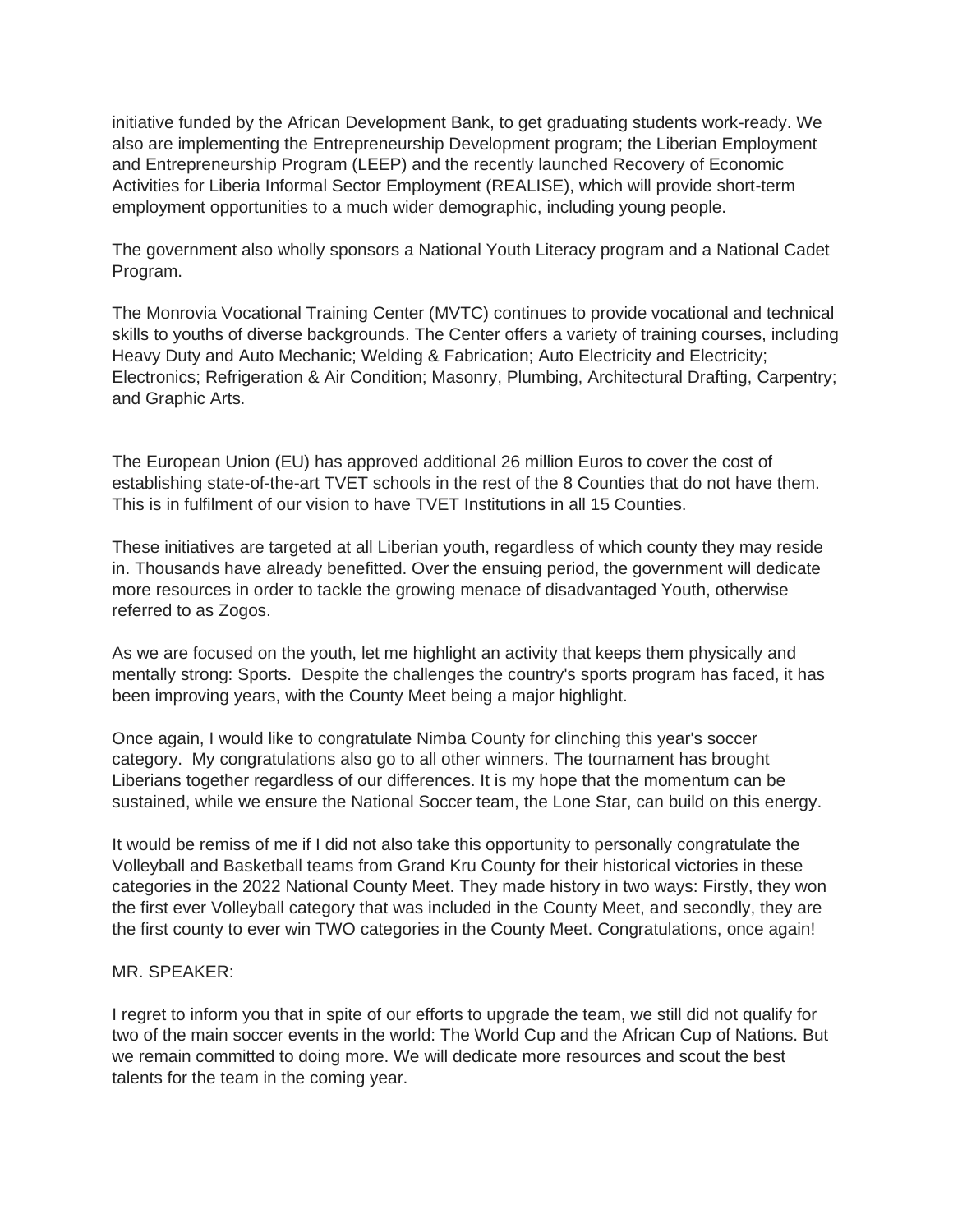initiative funded by the African Development Bank, to get graduating students work-ready. We also are implementing the Entrepreneurship Development program; the Liberian Employment and Entrepreneurship Program (LEEP) and the recently launched Recovery of Economic Activities for Liberia Informal Sector Employment (REALISE), which will provide short-term employment opportunities to a much wider demographic, including young people.

The government also wholly sponsors a National Youth Literacy program and a National Cadet Program.

The Monrovia Vocational Training Center (MVTC) continues to provide vocational and technical skills to youths of diverse backgrounds. The Center offers a variety of training courses, including Heavy Duty and Auto Mechanic; Welding & Fabrication; Auto Electricity and Electricity; Electronics; Refrigeration & Air Condition; Masonry, Plumbing, Architectural Drafting, Carpentry; and Graphic Arts.

The European Union (EU) has approved additional 26 million Euros to cover the cost of establishing state-of-the-art TVET schools in the rest of the 8 Counties that do not have them. This is in fulfilment of our vision to have TVET Institutions in all 15 Counties.

These initiatives are targeted at all Liberian youth, regardless of which county they may reside in. Thousands have already benefitted. Over the ensuing period, the government will dedicate more resources in order to tackle the growing menace of disadvantaged Youth, otherwise referred to as Zogos.

As we are focused on the youth, let me highlight an activity that keeps them physically and mentally strong: Sports. Despite the challenges the country's sports program has faced, it has been improving years, with the County Meet being a major highlight.

Once again, I would like to congratulate Nimba County for clinching this year's soccer category. My congratulations also go to all other winners. The tournament has brought Liberians together regardless of our differences. It is my hope that the momentum can be sustained, while we ensure the National Soccer team, the Lone Star, can build on this energy.

It would be remiss of me if I did not also take this opportunity to personally congratulate the Volleyball and Basketball teams from Grand Kru County for their historical victories in these categories in the 2022 National County Meet. They made history in two ways: Firstly, they won the first ever Volleyball category that was included in the County Meet, and secondly, they are the first county to ever win TWO categories in the County Meet. Congratulations, once again!

#### MR. SPEAKER:

I regret to inform you that in spite of our efforts to upgrade the team, we still did not qualify for two of the main soccer events in the world: The World Cup and the African Cup of Nations. But we remain committed to doing more. We will dedicate more resources and scout the best talents for the team in the coming year.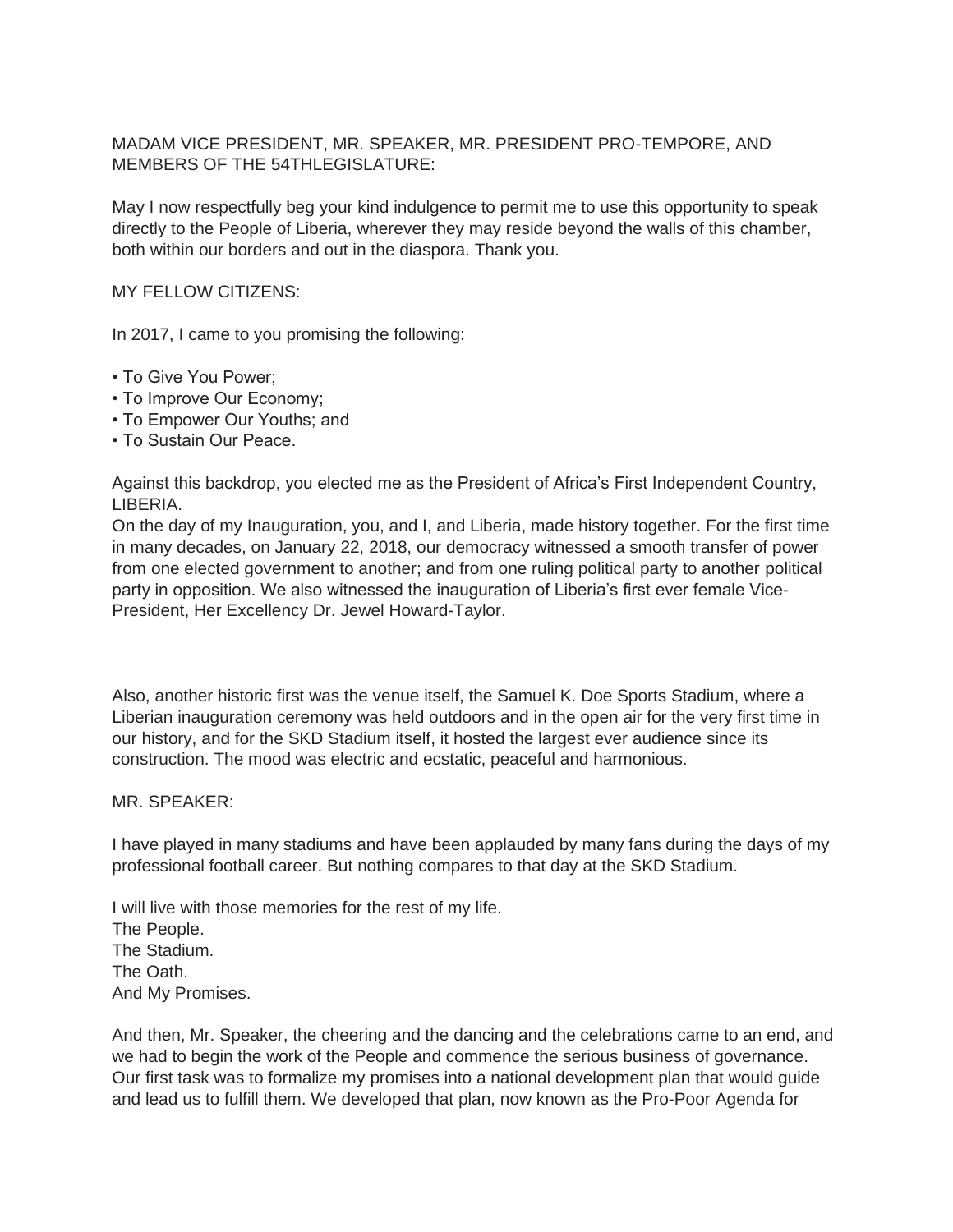## MADAM VICE PRESIDENT, MR. SPEAKER, MR. PRESIDENT PRO-TEMPORE, AND MEMBERS OF THE 54THLEGISLATURE:

May I now respectfully beg your kind indulgence to permit me to use this opportunity to speak directly to the People of Liberia, wherever they may reside beyond the walls of this chamber, both within our borders and out in the diaspora. Thank you.

### MY FELLOW CITIZENS:

In 2017, I came to you promising the following:

- To Give You Power;
- To Improve Our Economy;
- To Empower Our Youths; and
- To Sustain Our Peace.

Against this backdrop, you elected me as the President of Africa's First Independent Country, LIBERIA.

On the day of my Inauguration, you, and I, and Liberia, made history together. For the first time in many decades, on January 22, 2018, our democracy witnessed a smooth transfer of power from one elected government to another; and from one ruling political party to another political party in opposition. We also witnessed the inauguration of Liberia's first ever female Vice-President, Her Excellency Dr. Jewel Howard-Taylor.

Also, another historic first was the venue itself, the Samuel K. Doe Sports Stadium, where a Liberian inauguration ceremony was held outdoors and in the open air for the very first time in our history, and for the SKD Stadium itself, it hosted the largest ever audience since its construction. The mood was electric and ecstatic, peaceful and harmonious.

#### MR. SPEAKER:

I have played in many stadiums and have been applauded by many fans during the days of my professional football career. But nothing compares to that day at the SKD Stadium.

I will live with those memories for the rest of my life. The People. The Stadium. The Oath. And My Promises.

And then, Mr. Speaker, the cheering and the dancing and the celebrations came to an end, and we had to begin the work of the People and commence the serious business of governance. Our first task was to formalize my promises into a national development plan that would guide and lead us to fulfill them. We developed that plan, now known as the Pro-Poor Agenda for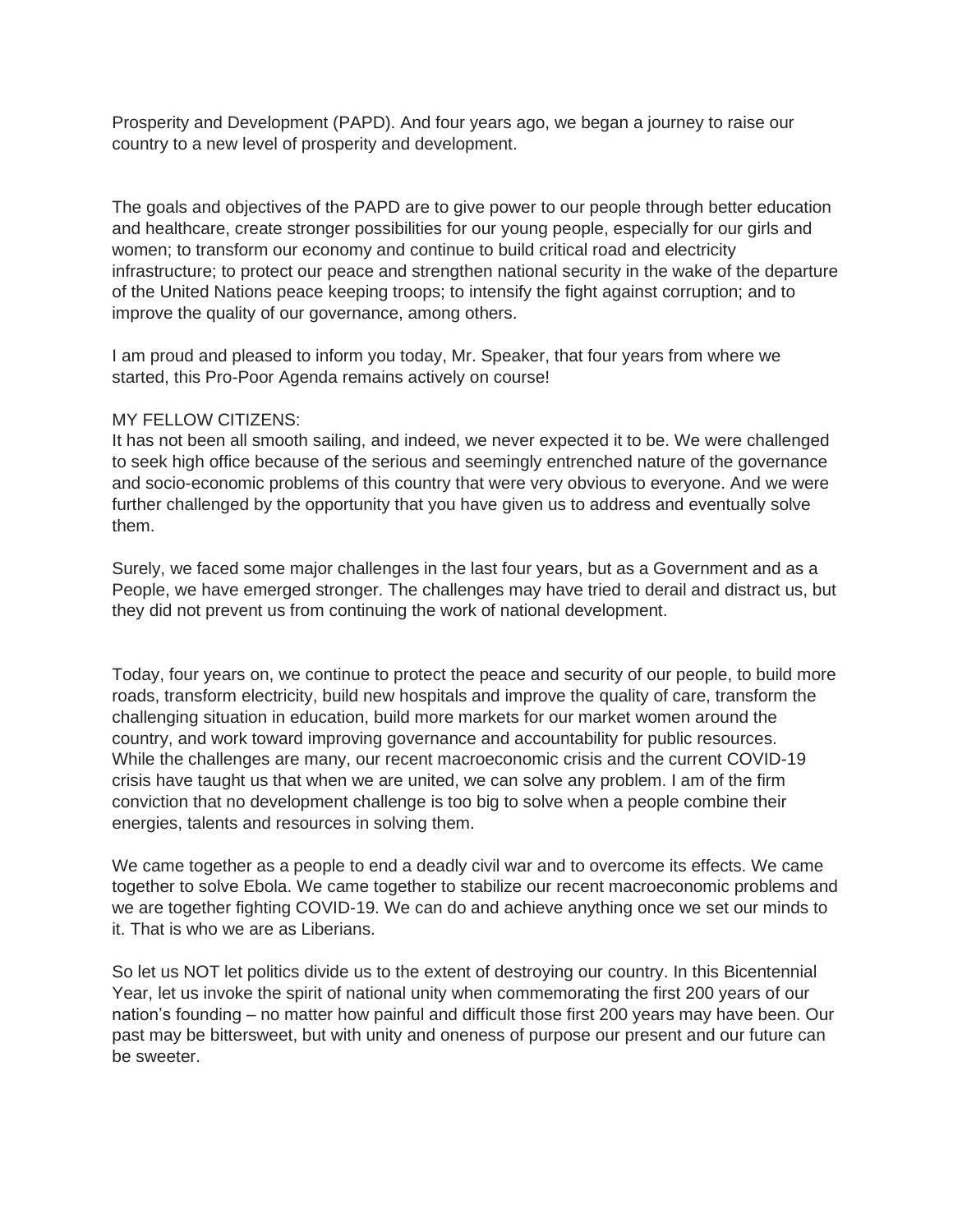Prosperity and Development (PAPD). And four years ago, we began a journey to raise our country to a new level of prosperity and development.

The goals and objectives of the PAPD are to give power to our people through better education and healthcare, create stronger possibilities for our young people, especially for our girls and women; to transform our economy and continue to build critical road and electricity infrastructure; to protect our peace and strengthen national security in the wake of the departure of the United Nations peace keeping troops; to intensify the fight against corruption; and to improve the quality of our governance, among others.

I am proud and pleased to inform you today, Mr. Speaker, that four years from where we started, this Pro-Poor Agenda remains actively on course!

### MY FELLOW CITIZENS:

It has not been all smooth sailing, and indeed, we never expected it to be. We were challenged to seek high office because of the serious and seemingly entrenched nature of the governance and socio-economic problems of this country that were very obvious to everyone. And we were further challenged by the opportunity that you have given us to address and eventually solve them.

Surely, we faced some major challenges in the last four years, but as a Government and as a People, we have emerged stronger. The challenges may have tried to derail and distract us, but they did not prevent us from continuing the work of national development.

Today, four years on, we continue to protect the peace and security of our people, to build more roads, transform electricity, build new hospitals and improve the quality of care, transform the challenging situation in education, build more markets for our market women around the country, and work toward improving governance and accountability for public resources. While the challenges are many, our recent macroeconomic crisis and the current COVID-19 crisis have taught us that when we are united, we can solve any problem. I am of the firm conviction that no development challenge is too big to solve when a people combine their energies, talents and resources in solving them.

We came together as a people to end a deadly civil war and to overcome its effects. We came together to solve Ebola. We came together to stabilize our recent macroeconomic problems and we are together fighting COVID-19. We can do and achieve anything once we set our minds to it. That is who we are as Liberians.

So let us NOT let politics divide us to the extent of destroying our country. In this Bicentennial Year, let us invoke the spirit of national unity when commemorating the first 200 years of our nation's founding – no matter how painful and difficult those first 200 years may have been. Our past may be bittersweet, but with unity and oneness of purpose our present and our future can be sweeter.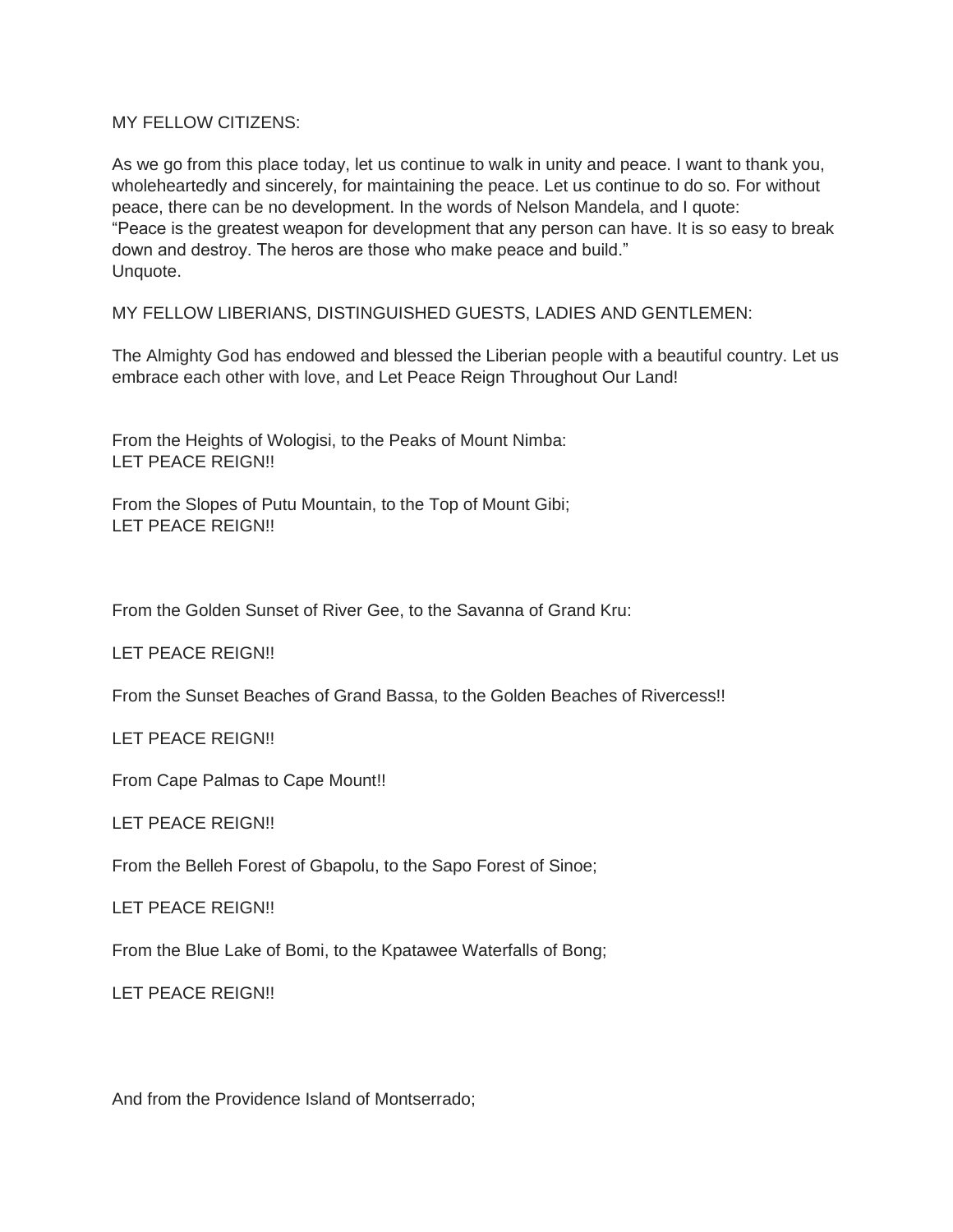MY FELLOW CITIZENS:

As we go from this place today, let us continue to walk in unity and peace. I want to thank you, wholeheartedly and sincerely, for maintaining the peace. Let us continue to do so. For without peace, there can be no development. In the words of Nelson Mandela, and I quote: "Peace is the greatest weapon for development that any person can have. It is so easy to break down and destroy. The heros are those who make peace and build." Unquote.

MY FELLOW LIBERIANS, DISTINGUISHED GUESTS, LADIES AND GENTLEMEN:

The Almighty God has endowed and blessed the Liberian people with a beautiful country. Let us embrace each other with love, and Let Peace Reign Throughout Our Land!

From the Heights of Wologisi, to the Peaks of Mount Nimba: LET PEACE REIGN!!

From the Slopes of Putu Mountain, to the Top of Mount Gibi; LET PEACE REIGN!!

From the Golden Sunset of River Gee, to the Savanna of Grand Kru:

LET PEACE REIGN!!

From the Sunset Beaches of Grand Bassa, to the Golden Beaches of Rivercess!!

LET PEACE REIGN!!

From Cape Palmas to Cape Mount!!

LET PEACE REIGN!!

From the Belleh Forest of Gbapolu, to the Sapo Forest of Sinoe;

LET PEACE REIGN!!

From the Blue Lake of Bomi, to the Kpatawee Waterfalls of Bong;

LET PEACE REIGN!!

And from the Providence Island of Montserrado;